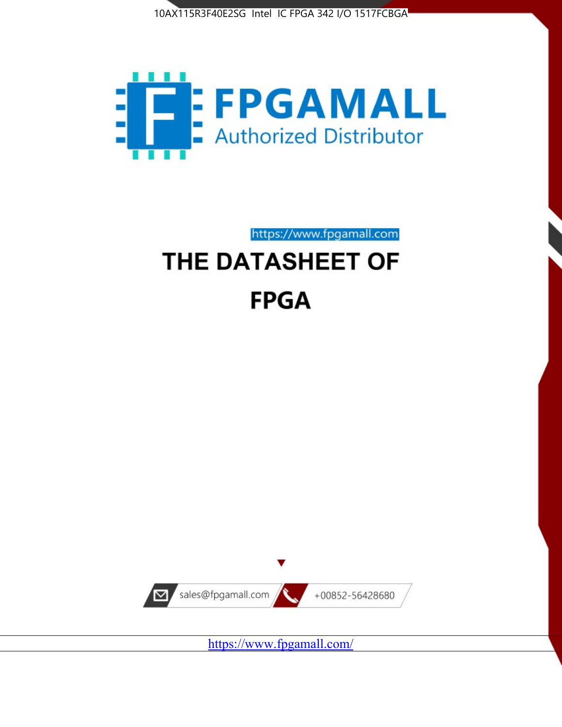



https://www.fpgamall.com

# THE DATASHEET OF **FPGA**



<https://www.fpgamall.com/>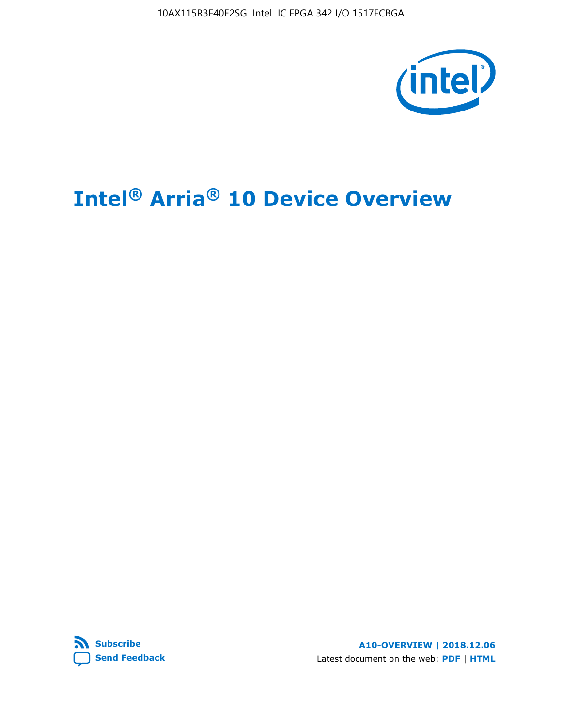10AX115R3F40E2SG Intel IC FPGA 342 I/O 1517FCBGA



# **Intel® Arria® 10 Device Overview**



**A10-OVERVIEW | 2018.12.06** Latest document on the web: **[PDF](https://www.intel.com/content/dam/www/programmable/us/en/pdfs/literature/hb/arria-10/a10_overview.pdf)** | **[HTML](https://www.intel.com/content/www/us/en/programmable/documentation/sam1403480274650.html)**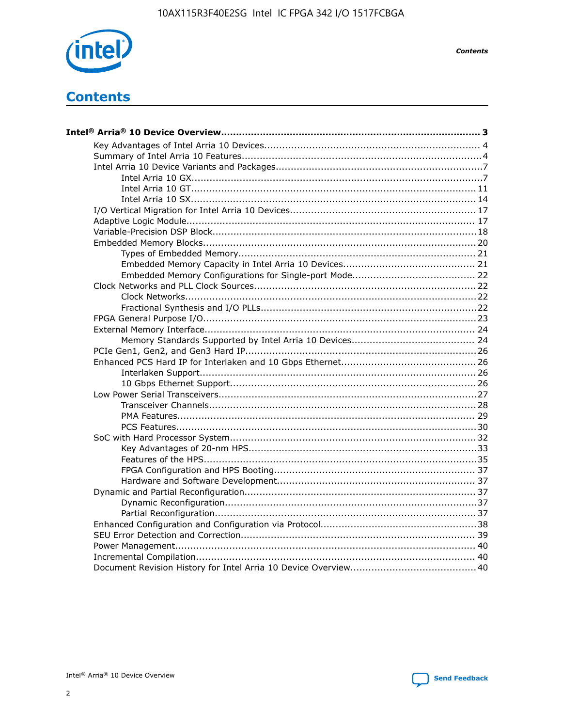

**Contents** 

# **Contents**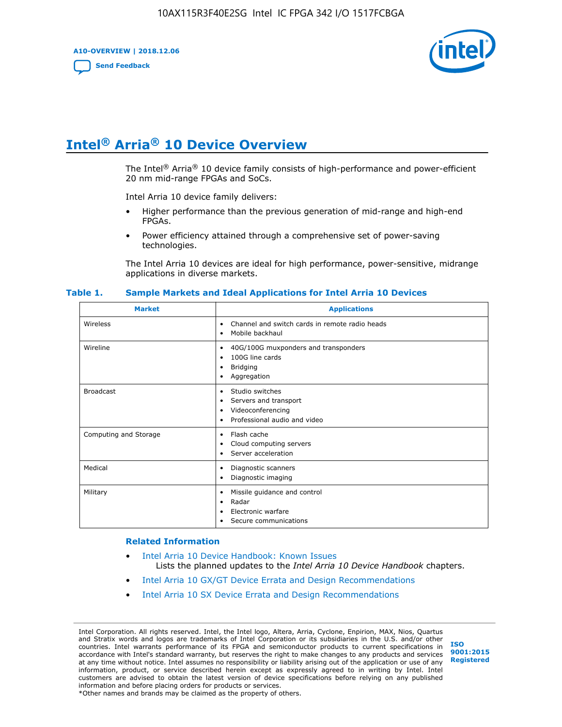**A10-OVERVIEW | 2018.12.06**

**[Send Feedback](mailto:FPGAtechdocfeedback@intel.com?subject=Feedback%20on%20Intel%20Arria%2010%20Device%20Overview%20(A10-OVERVIEW%202018.12.06)&body=We%20appreciate%20your%20feedback.%20In%20your%20comments,%20also%20specify%20the%20page%20number%20or%20paragraph.%20Thank%20you.)**



# **Intel® Arria® 10 Device Overview**

The Intel<sup>®</sup> Arria<sup>®</sup> 10 device family consists of high-performance and power-efficient 20 nm mid-range FPGAs and SoCs.

Intel Arria 10 device family delivers:

- Higher performance than the previous generation of mid-range and high-end FPGAs.
- Power efficiency attained through a comprehensive set of power-saving technologies.

The Intel Arria 10 devices are ideal for high performance, power-sensitive, midrange applications in diverse markets.

| <b>Market</b>         | <b>Applications</b>                                                                                               |
|-----------------------|-------------------------------------------------------------------------------------------------------------------|
| Wireless              | Channel and switch cards in remote radio heads<br>٠<br>Mobile backhaul<br>٠                                       |
| Wireline              | 40G/100G muxponders and transponders<br>٠<br>100G line cards<br>٠<br><b>Bridging</b><br>٠<br>Aggregation<br>٠     |
| <b>Broadcast</b>      | Studio switches<br>٠<br>Servers and transport<br>٠<br>Videoconferencing<br>٠<br>Professional audio and video<br>٠ |
| Computing and Storage | Flash cache<br>٠<br>Cloud computing servers<br>٠<br>Server acceleration<br>٠                                      |
| Medical               | Diagnostic scanners<br>٠<br>Diagnostic imaging<br>٠                                                               |
| Military              | Missile guidance and control<br>٠<br>Radar<br>٠<br>Electronic warfare<br>٠<br>Secure communications<br>٠          |

#### **Table 1. Sample Markets and Ideal Applications for Intel Arria 10 Devices**

#### **Related Information**

- [Intel Arria 10 Device Handbook: Known Issues](http://www.altera.com/support/kdb/solutions/rd07302013_646.html) Lists the planned updates to the *Intel Arria 10 Device Handbook* chapters.
- [Intel Arria 10 GX/GT Device Errata and Design Recommendations](https://www.intel.com/content/www/us/en/programmable/documentation/agz1493851706374.html#yqz1494433888646)
- [Intel Arria 10 SX Device Errata and Design Recommendations](https://www.intel.com/content/www/us/en/programmable/documentation/cru1462832385668.html#cru1462832558642)

Intel Corporation. All rights reserved. Intel, the Intel logo, Altera, Arria, Cyclone, Enpirion, MAX, Nios, Quartus and Stratix words and logos are trademarks of Intel Corporation or its subsidiaries in the U.S. and/or other countries. Intel warrants performance of its FPGA and semiconductor products to current specifications in accordance with Intel's standard warranty, but reserves the right to make changes to any products and services at any time without notice. Intel assumes no responsibility or liability arising out of the application or use of any information, product, or service described herein except as expressly agreed to in writing by Intel. Intel customers are advised to obtain the latest version of device specifications before relying on any published information and before placing orders for products or services. \*Other names and brands may be claimed as the property of others.

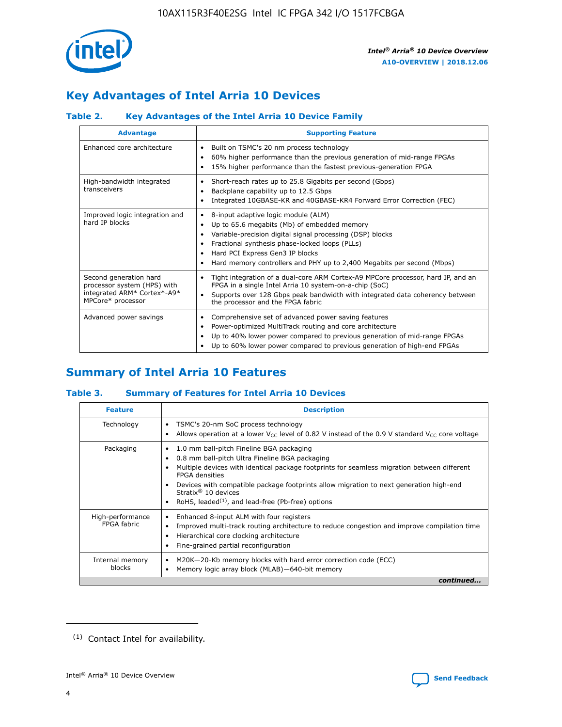

# **Key Advantages of Intel Arria 10 Devices**

## **Table 2. Key Advantages of the Intel Arria 10 Device Family**

| <b>Advantage</b>                                                                                          | <b>Supporting Feature</b>                                                                                                                                                                                                                                                                                                |
|-----------------------------------------------------------------------------------------------------------|--------------------------------------------------------------------------------------------------------------------------------------------------------------------------------------------------------------------------------------------------------------------------------------------------------------------------|
| Enhanced core architecture                                                                                | Built on TSMC's 20 nm process technology<br>٠<br>60% higher performance than the previous generation of mid-range FPGAs<br>٠<br>15% higher performance than the fastest previous-generation FPGA<br>٠                                                                                                                    |
| High-bandwidth integrated<br>transceivers                                                                 | Short-reach rates up to 25.8 Gigabits per second (Gbps)<br>٠<br>Backplane capability up to 12.5 Gbps<br>٠<br>Integrated 10GBASE-KR and 40GBASE-KR4 Forward Error Correction (FEC)<br>٠                                                                                                                                   |
| Improved logic integration and<br>hard IP blocks                                                          | 8-input adaptive logic module (ALM)<br>٠<br>Up to 65.6 megabits (Mb) of embedded memory<br>٠<br>Variable-precision digital signal processing (DSP) blocks<br>Fractional synthesis phase-locked loops (PLLs)<br>Hard PCI Express Gen3 IP blocks<br>Hard memory controllers and PHY up to 2,400 Megabits per second (Mbps) |
| Second generation hard<br>processor system (HPS) with<br>integrated ARM* Cortex*-A9*<br>MPCore* processor | Tight integration of a dual-core ARM Cortex-A9 MPCore processor, hard IP, and an<br>٠<br>FPGA in a single Intel Arria 10 system-on-a-chip (SoC)<br>Supports over 128 Gbps peak bandwidth with integrated data coherency between<br>$\bullet$<br>the processor and the FPGA fabric                                        |
| Advanced power savings                                                                                    | Comprehensive set of advanced power saving features<br>٠<br>Power-optimized MultiTrack routing and core architecture<br>٠<br>Up to 40% lower power compared to previous generation of mid-range FPGAs<br>٠<br>Up to 60% lower power compared to previous generation of high-end FPGAs                                    |

# **Summary of Intel Arria 10 Features**

## **Table 3. Summary of Features for Intel Arria 10 Devices**

| <b>Feature</b>                  | <b>Description</b>                                                                                                                                                                                                                                                                                                                                                                                           |
|---------------------------------|--------------------------------------------------------------------------------------------------------------------------------------------------------------------------------------------------------------------------------------------------------------------------------------------------------------------------------------------------------------------------------------------------------------|
| Technology                      | TSMC's 20-nm SoC process technology<br>Allows operation at a lower $V_{\text{CC}}$ level of 0.82 V instead of the 0.9 V standard $V_{\text{CC}}$ core voltage                                                                                                                                                                                                                                                |
| Packaging                       | 1.0 mm ball-pitch Fineline BGA packaging<br>٠<br>0.8 mm ball-pitch Ultra Fineline BGA packaging<br>Multiple devices with identical package footprints for seamless migration between different<br><b>FPGA</b> densities<br>Devices with compatible package footprints allow migration to next generation high-end<br>Stratix <sup>®</sup> 10 devices<br>RoHS, leaded $(1)$ , and lead-free (Pb-free) options |
| High-performance<br>FPGA fabric | Enhanced 8-input ALM with four registers<br>Improved multi-track routing architecture to reduce congestion and improve compilation time<br>Hierarchical core clocking architecture<br>Fine-grained partial reconfiguration                                                                                                                                                                                   |
| Internal memory<br>blocks       | M20K-20-Kb memory blocks with hard error correction code (ECC)<br>Memory logic array block (MLAB)-640-bit memory                                                                                                                                                                                                                                                                                             |
|                                 | continued                                                                                                                                                                                                                                                                                                                                                                                                    |



<sup>(1)</sup> Contact Intel for availability.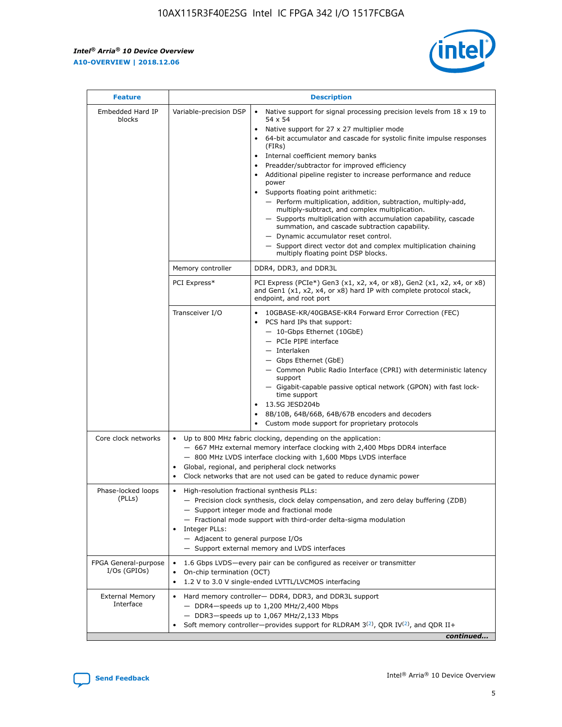$\mathbf{r}$ 



| <b>Feature</b>                         | <b>Description</b>                                                                                             |                                                                                                                                                                                                                                                                                                                                                                                                                                                                                                                                                                                                                                                                                                                                                                                                                                                                  |  |  |  |  |  |  |
|----------------------------------------|----------------------------------------------------------------------------------------------------------------|------------------------------------------------------------------------------------------------------------------------------------------------------------------------------------------------------------------------------------------------------------------------------------------------------------------------------------------------------------------------------------------------------------------------------------------------------------------------------------------------------------------------------------------------------------------------------------------------------------------------------------------------------------------------------------------------------------------------------------------------------------------------------------------------------------------------------------------------------------------|--|--|--|--|--|--|
| Embedded Hard IP<br>blocks             | Variable-precision DSP                                                                                         | Native support for signal processing precision levels from $18 \times 19$ to<br>$\bullet$<br>54 x 54<br>Native support for 27 x 27 multiplier mode<br>$\bullet$<br>64-bit accumulator and cascade for systolic finite impulse responses<br>(FIRs)<br>Internal coefficient memory banks<br>$\bullet$<br>Preadder/subtractor for improved efficiency<br>Additional pipeline register to increase performance and reduce<br>power<br>Supports floating point arithmetic:<br>- Perform multiplication, addition, subtraction, multiply-add,<br>multiply-subtract, and complex multiplication.<br>- Supports multiplication with accumulation capability, cascade<br>summation, and cascade subtraction capability.<br>- Dynamic accumulator reset control.<br>- Support direct vector dot and complex multiplication chaining<br>multiply floating point DSP blocks. |  |  |  |  |  |  |
|                                        | Memory controller                                                                                              | DDR4, DDR3, and DDR3L                                                                                                                                                                                                                                                                                                                                                                                                                                                                                                                                                                                                                                                                                                                                                                                                                                            |  |  |  |  |  |  |
|                                        | PCI Express*                                                                                                   | PCI Express (PCIe*) Gen3 (x1, x2, x4, or x8), Gen2 (x1, x2, x4, or x8)<br>and Gen1 (x1, x2, x4, or x8) hard IP with complete protocol stack,<br>endpoint, and root port                                                                                                                                                                                                                                                                                                                                                                                                                                                                                                                                                                                                                                                                                          |  |  |  |  |  |  |
|                                        | Transceiver I/O                                                                                                | 10GBASE-KR/40GBASE-KR4 Forward Error Correction (FEC)<br>PCS hard IPs that support:<br>- 10-Gbps Ethernet (10GbE)<br>- PCIe PIPE interface<br>- Interlaken<br>- Gbps Ethernet (GbE)<br>- Common Public Radio Interface (CPRI) with deterministic latency<br>support<br>- Gigabit-capable passive optical network (GPON) with fast lock-<br>time support<br>13.5G JESD204b<br>$\bullet$<br>8B/10B, 64B/66B, 64B/67B encoders and decoders<br>Custom mode support for proprietary protocols                                                                                                                                                                                                                                                                                                                                                                        |  |  |  |  |  |  |
| Core clock networks                    | $\bullet$                                                                                                      | Up to 800 MHz fabric clocking, depending on the application:<br>- 667 MHz external memory interface clocking with 2,400 Mbps DDR4 interface<br>- 800 MHz LVDS interface clocking with 1,600 Mbps LVDS interface<br>Global, regional, and peripheral clock networks<br>Clock networks that are not used can be gated to reduce dynamic power                                                                                                                                                                                                                                                                                                                                                                                                                                                                                                                      |  |  |  |  |  |  |
| Phase-locked loops<br>(PLLs)           | High-resolution fractional synthesis PLLs:<br>$\bullet$<br>Integer PLLs:<br>- Adjacent to general purpose I/Os | - Precision clock synthesis, clock delay compensation, and zero delay buffering (ZDB)<br>- Support integer mode and fractional mode<br>- Fractional mode support with third-order delta-sigma modulation<br>- Support external memory and LVDS interfaces                                                                                                                                                                                                                                                                                                                                                                                                                                                                                                                                                                                                        |  |  |  |  |  |  |
| FPGA General-purpose<br>$I/Os$ (GPIOs) | On-chip termination (OCT)<br>$\bullet$                                                                         | 1.6 Gbps LVDS-every pair can be configured as receiver or transmitter                                                                                                                                                                                                                                                                                                                                                                                                                                                                                                                                                                                                                                                                                                                                                                                            |  |  |  |  |  |  |
| <b>External Memory</b><br>Interface    | $\bullet$                                                                                                      | 1.2 V to 3.0 V single-ended LVTTL/LVCMOS interfacing<br>Hard memory controller- DDR4, DDR3, and DDR3L support<br>$-$ DDR4-speeds up to 1,200 MHz/2,400 Mbps<br>- DDR3-speeds up to 1,067 MHz/2,133 Mbps<br>Soft memory controller—provides support for RLDRAM $3^{(2)}$ , QDR IV $^{(2)}$ , and QDR II+<br>continued                                                                                                                                                                                                                                                                                                                                                                                                                                                                                                                                             |  |  |  |  |  |  |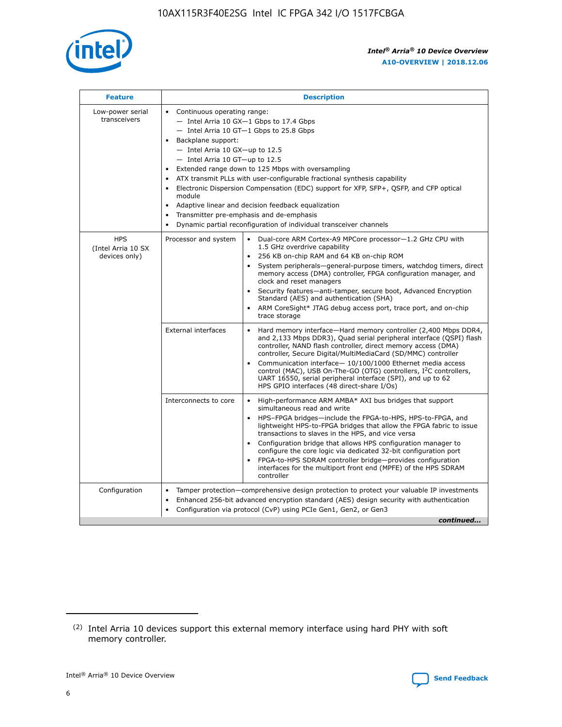

| <b>Feature</b>                                    | <b>Description</b>                                                                                                                                                                                                                                                                                                                                                                                                                                                                                                                                                                                                                         |
|---------------------------------------------------|--------------------------------------------------------------------------------------------------------------------------------------------------------------------------------------------------------------------------------------------------------------------------------------------------------------------------------------------------------------------------------------------------------------------------------------------------------------------------------------------------------------------------------------------------------------------------------------------------------------------------------------------|
| Low-power serial<br>transceivers                  | • Continuous operating range:<br>- Intel Arria 10 GX-1 Gbps to 17.4 Gbps<br>- Intel Arria 10 GT-1 Gbps to 25.8 Gbps<br>Backplane support:<br>$-$ Intel Arria 10 GX-up to 12.5<br>- Intel Arria 10 GT-up to 12.5<br>Extended range down to 125 Mbps with oversampling<br>ATX transmit PLLs with user-configurable fractional synthesis capability<br>Electronic Dispersion Compensation (EDC) support for XFP, SFP+, QSFP, and CFP optical<br>module<br>• Adaptive linear and decision feedback equalization<br>Transmitter pre-emphasis and de-emphasis<br>$\bullet$<br>Dynamic partial reconfiguration of individual transceiver channels |
| <b>HPS</b><br>(Intel Arria 10 SX<br>devices only) | Dual-core ARM Cortex-A9 MPCore processor-1.2 GHz CPU with<br>Processor and system<br>$\bullet$<br>1.5 GHz overdrive capability<br>256 KB on-chip RAM and 64 KB on-chip ROM<br>System peripherals-general-purpose timers, watchdog timers, direct<br>memory access (DMA) controller, FPGA configuration manager, and<br>clock and reset managers<br>Security features-anti-tamper, secure boot, Advanced Encryption<br>$\bullet$<br>Standard (AES) and authentication (SHA)<br>ARM CoreSight* JTAG debug access port, trace port, and on-chip<br>trace storage                                                                              |
|                                                   | <b>External interfaces</b><br>Hard memory interface-Hard memory controller (2,400 Mbps DDR4,<br>$\bullet$<br>and 2,133 Mbps DDR3), Quad serial peripheral interface (QSPI) flash<br>controller, NAND flash controller, direct memory access (DMA)<br>controller, Secure Digital/MultiMediaCard (SD/MMC) controller<br>Communication interface-10/100/1000 Ethernet media access<br>$\bullet$<br>control (MAC), USB On-The-GO (OTG) controllers, I <sup>2</sup> C controllers,<br>UART 16550, serial peripheral interface (SPI), and up to 62<br>HPS GPIO interfaces (48 direct-share I/Os)                                                 |
|                                                   | High-performance ARM AMBA* AXI bus bridges that support<br>Interconnects to core<br>$\bullet$<br>simultaneous read and write<br>HPS-FPGA bridges-include the FPGA-to-HPS, HPS-to-FPGA, and<br>$\bullet$<br>lightweight HPS-to-FPGA bridges that allow the FPGA fabric to issue<br>transactions to slaves in the HPS, and vice versa<br>Configuration bridge that allows HPS configuration manager to<br>configure the core logic via dedicated 32-bit configuration port<br>FPGA-to-HPS SDRAM controller bridge-provides configuration<br>interfaces for the multiport front end (MPFE) of the HPS SDRAM<br>controller                     |
| Configuration                                     | Tamper protection—comprehensive design protection to protect your valuable IP investments<br>Enhanced 256-bit advanced encryption standard (AES) design security with authentication<br>٠<br>Configuration via protocol (CvP) using PCIe Gen1, Gen2, or Gen3<br>continued                                                                                                                                                                                                                                                                                                                                                                  |

<sup>(2)</sup> Intel Arria 10 devices support this external memory interface using hard PHY with soft memory controller.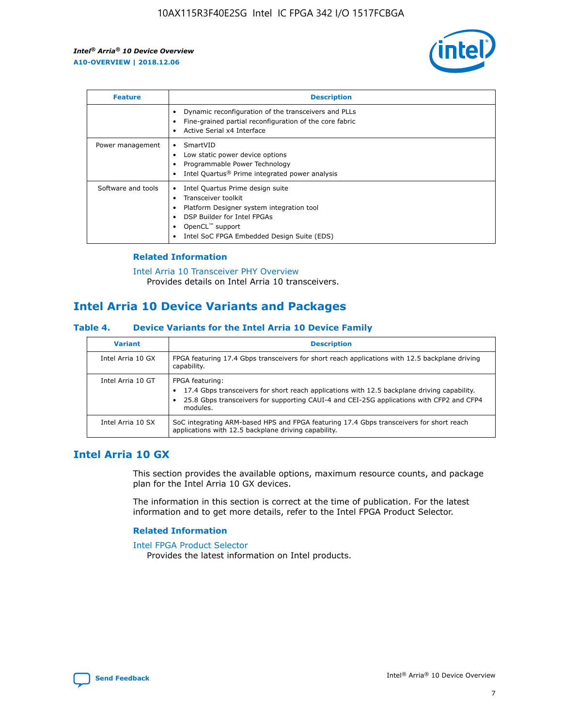

| <b>Feature</b>     | <b>Description</b>                                                                                                                                                                                               |
|--------------------|------------------------------------------------------------------------------------------------------------------------------------------------------------------------------------------------------------------|
|                    | Dynamic reconfiguration of the transceivers and PLLs<br>Fine-grained partial reconfiguration of the core fabric<br>Active Serial x4 Interface<br>$\bullet$                                                       |
| Power management   | SmartVID<br>$\bullet$<br>Low static power device options<br>Programmable Power Technology<br>Intel Quartus <sup>®</sup> Prime integrated power analysis                                                          |
| Software and tools | Intel Quartus Prime design suite<br>Transceiver toolkit<br>Platform Designer system integration tool<br>DSP Builder for Intel FPGAs<br>OpenCL <sup>™</sup> support<br>Intel SoC FPGA Embedded Design Suite (EDS) |

## **Related Information**

[Intel Arria 10 Transceiver PHY Overview](https://www.intel.com/content/www/us/en/programmable/documentation/nik1398707230472.html#nik1398706768037) Provides details on Intel Arria 10 transceivers.

# **Intel Arria 10 Device Variants and Packages**

#### **Table 4. Device Variants for the Intel Arria 10 Device Family**

| <b>Variant</b>    | <b>Description</b>                                                                                                                                                                                                     |
|-------------------|------------------------------------------------------------------------------------------------------------------------------------------------------------------------------------------------------------------------|
| Intel Arria 10 GX | FPGA featuring 17.4 Gbps transceivers for short reach applications with 12.5 backplane driving<br>capability.                                                                                                          |
| Intel Arria 10 GT | FPGA featuring:<br>17.4 Gbps transceivers for short reach applications with 12.5 backplane driving capability.<br>25.8 Gbps transceivers for supporting CAUI-4 and CEI-25G applications with CFP2 and CFP4<br>modules. |
| Intel Arria 10 SX | SoC integrating ARM-based HPS and FPGA featuring 17.4 Gbps transceivers for short reach<br>applications with 12.5 backplane driving capability.                                                                        |

## **Intel Arria 10 GX**

This section provides the available options, maximum resource counts, and package plan for the Intel Arria 10 GX devices.

The information in this section is correct at the time of publication. For the latest information and to get more details, refer to the Intel FPGA Product Selector.

#### **Related Information**

#### [Intel FPGA Product Selector](http://www.altera.com/products/selector/psg-selector.html) Provides the latest information on Intel products.

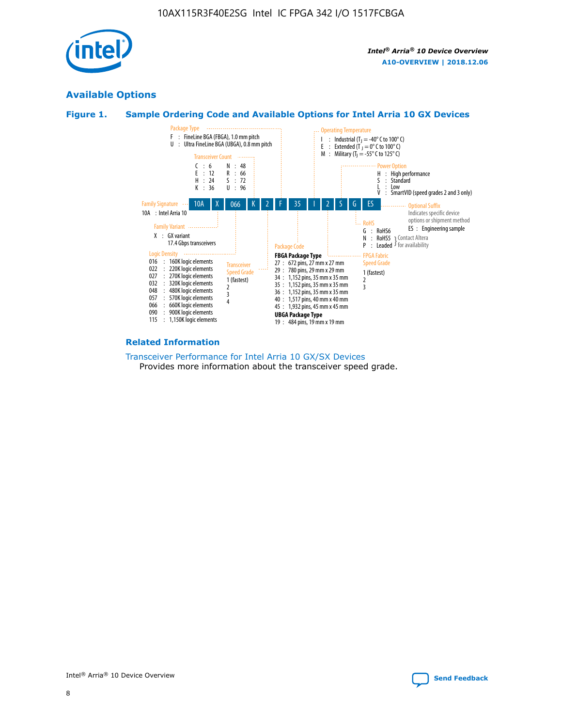

## **Available Options**





#### **Related Information**

[Transceiver Performance for Intel Arria 10 GX/SX Devices](https://www.intel.com/content/www/us/en/programmable/documentation/mcn1413182292568.html#mcn1413213965502) Provides more information about the transceiver speed grade.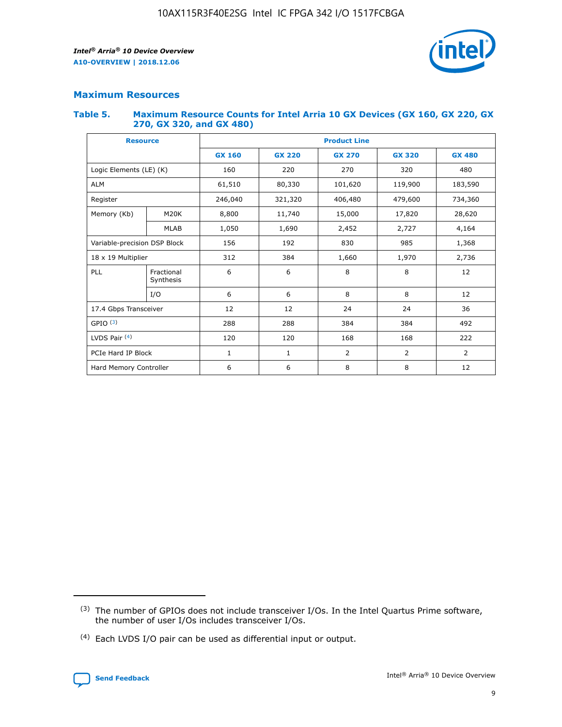

## **Maximum Resources**

#### **Table 5. Maximum Resource Counts for Intel Arria 10 GX Devices (GX 160, GX 220, GX 270, GX 320, and GX 480)**

| <b>Resource</b>              |                         | <b>Product Line</b> |                                                 |                    |                |                |  |  |  |
|------------------------------|-------------------------|---------------------|-------------------------------------------------|--------------------|----------------|----------------|--|--|--|
|                              |                         | <b>GX 160</b>       | <b>GX 220</b><br><b>GX 270</b><br><b>GX 320</b> |                    |                | <b>GX 480</b>  |  |  |  |
| Logic Elements (LE) (K)      |                         | 160                 | 220<br>320<br>270                               |                    |                | 480            |  |  |  |
| <b>ALM</b>                   |                         | 61,510              | 80,330                                          | 101,620            | 119,900        | 183,590        |  |  |  |
| Register                     |                         | 246,040             | 321,320                                         | 406,480<br>479,600 |                | 734,360        |  |  |  |
| Memory (Kb)                  | M <sub>20</sub> K       | 8,800               | 11,740                                          | 15,000             | 17,820         | 28,620         |  |  |  |
|                              | <b>MLAB</b>             | 1,050               | 1,690<br>2,452<br>2,727                         |                    |                | 4,164          |  |  |  |
| Variable-precision DSP Block |                         | 156                 | 192                                             | 830                | 985            |                |  |  |  |
| 18 x 19 Multiplier           |                         | 312                 | 384                                             | 1,660<br>1,970     |                | 2,736          |  |  |  |
| PLL                          | Fractional<br>Synthesis | 6                   | 6                                               | 8                  | 8              | 12             |  |  |  |
|                              | I/O                     | 6                   | 6                                               | 8                  | 8              | 12             |  |  |  |
| 17.4 Gbps Transceiver        |                         | 12                  | 12                                              | 24                 | 24             | 36             |  |  |  |
| GPIO <sup>(3)</sup>          |                         | 288                 | 288                                             | 384                | 384            |                |  |  |  |
| LVDS Pair $(4)$              |                         | 120                 | 120                                             | 168                | 168            | 222            |  |  |  |
| PCIe Hard IP Block           |                         | $\mathbf{1}$        | 1                                               | $\overline{2}$     | $\overline{2}$ | $\overline{2}$ |  |  |  |
| Hard Memory Controller       |                         | 6                   | 6                                               | 8                  | 8              | 12             |  |  |  |

<sup>(4)</sup> Each LVDS I/O pair can be used as differential input or output.



<sup>(3)</sup> The number of GPIOs does not include transceiver I/Os. In the Intel Quartus Prime software, the number of user I/Os includes transceiver I/Os.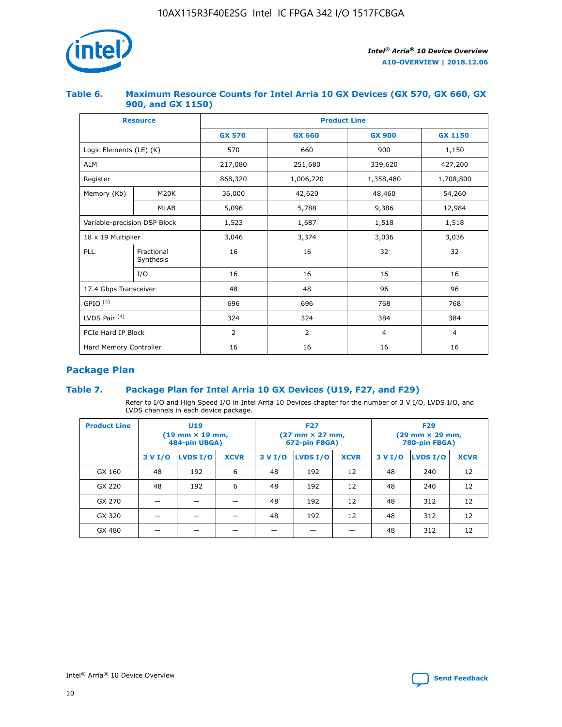

## **Table 6. Maximum Resource Counts for Intel Arria 10 GX Devices (GX 570, GX 660, GX 900, and GX 1150)**

|                              | <b>Resource</b>         | <b>Product Line</b> |                |                |                |  |  |  |  |
|------------------------------|-------------------------|---------------------|----------------|----------------|----------------|--|--|--|--|
|                              |                         | <b>GX 570</b>       | <b>GX 660</b>  | <b>GX 900</b>  | <b>GX 1150</b> |  |  |  |  |
| Logic Elements (LE) (K)      |                         | 570                 | 660            | 900            | 1,150          |  |  |  |  |
| <b>ALM</b>                   |                         | 217,080             | 251,680        | 339,620        | 427,200        |  |  |  |  |
| Register                     |                         | 868,320             | 1,006,720      | 1,358,480      | 1,708,800      |  |  |  |  |
| Memory (Kb)                  | <b>M20K</b>             | 36,000              | 42,620         | 48,460         | 54,260         |  |  |  |  |
|                              | <b>MLAB</b>             | 5,096               | 5,788<br>9,386 |                | 12,984         |  |  |  |  |
| Variable-precision DSP Block |                         | 1,523               | 1,687          | 1,518          | 1,518          |  |  |  |  |
|                              | 18 x 19 Multiplier      |                     | 3,374          | 3,036          | 3,036          |  |  |  |  |
| PLL                          | Fractional<br>Synthesis | 16                  | 16             | 32             | 32             |  |  |  |  |
|                              | I/O                     | 16                  | 16             | 16             | 16             |  |  |  |  |
| 17.4 Gbps Transceiver        |                         | 48                  | 48<br>96       |                | 96             |  |  |  |  |
| GPIO <sup>(3)</sup>          |                         | 696                 | 696            | 768            | 768            |  |  |  |  |
| LVDS Pair $(4)$              |                         | 324                 | 324<br>384     |                | 384            |  |  |  |  |
| PCIe Hard IP Block           |                         | 2                   | 2              | $\overline{4}$ | 4              |  |  |  |  |
| Hard Memory Controller       |                         | 16                  | 16             | 16             | 16             |  |  |  |  |

## **Package Plan**

## **Table 7. Package Plan for Intel Arria 10 GX Devices (U19, F27, and F29)**

Refer to I/O and High Speed I/O in Intel Arria 10 Devices chapter for the number of 3 V I/O, LVDS I/O, and LVDS channels in each device package.

| <b>Product Line</b> | U <sub>19</sub><br>$(19 \text{ mm} \times 19 \text{ mm})$<br>484-pin UBGA) |          |             |         | <b>F27</b><br>(27 mm × 27 mm,<br>672-pin FBGA) |             | <b>F29</b><br>(29 mm × 29 mm,<br>780-pin FBGA) |          |             |  |
|---------------------|----------------------------------------------------------------------------|----------|-------------|---------|------------------------------------------------|-------------|------------------------------------------------|----------|-------------|--|
|                     | 3 V I/O                                                                    | LVDS I/O | <b>XCVR</b> | 3 V I/O | LVDS I/O                                       | <b>XCVR</b> | 3 V I/O                                        | LVDS I/O | <b>XCVR</b> |  |
| GX 160              | 48                                                                         | 192      | 6           | 48      | 192                                            | 12          | 48                                             | 240      | 12          |  |
| GX 220              | 48                                                                         | 192      | 6           | 48      | 192                                            | 12          | 48                                             | 240      | 12          |  |
| GX 270              |                                                                            |          |             | 48      | 192                                            | 12          | 48                                             | 312      | 12          |  |
| GX 320              |                                                                            |          |             | 48      | 192                                            | 12          | 48                                             | 312      | 12          |  |
| GX 480              |                                                                            |          |             |         |                                                |             | 48                                             | 312      | 12          |  |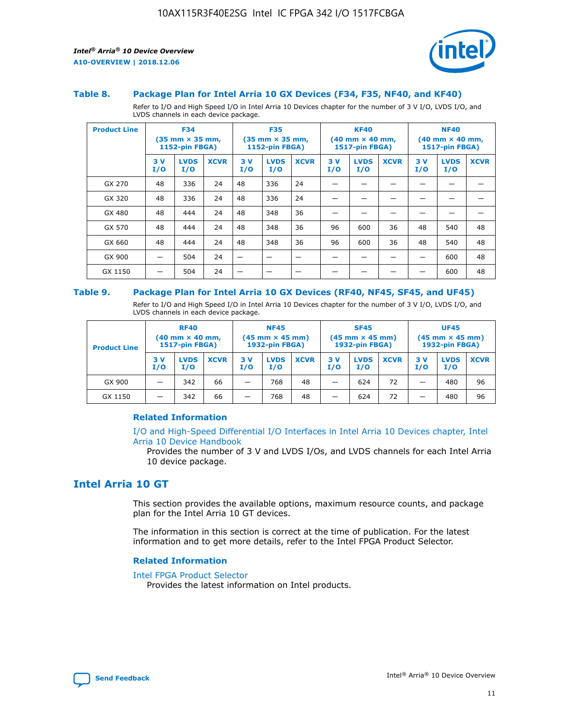

#### **Table 8. Package Plan for Intel Arria 10 GX Devices (F34, F35, NF40, and KF40)**

Refer to I/O and High Speed I/O in Intel Arria 10 Devices chapter for the number of 3 V I/O, LVDS I/O, and LVDS channels in each device package.

| <b>Product Line</b> | <b>F34</b><br>$(35 \text{ mm} \times 35 \text{ mm})$<br>1152-pin FBGA) |                    | <b>F35</b><br>$(35 \text{ mm} \times 35 \text{ mm})$<br><b>1152-pin FBGA)</b> |           | <b>KF40</b><br>$(40 \text{ mm} \times 40 \text{ mm})$<br>1517-pin FBGA) |             |            | <b>NF40</b><br>$(40 \text{ mm} \times 40 \text{ mm})$<br><b>1517-pin FBGA)</b> |             |            |                    |             |
|---------------------|------------------------------------------------------------------------|--------------------|-------------------------------------------------------------------------------|-----------|-------------------------------------------------------------------------|-------------|------------|--------------------------------------------------------------------------------|-------------|------------|--------------------|-------------|
|                     | 3V<br>I/O                                                              | <b>LVDS</b><br>I/O | <b>XCVR</b>                                                                   | 3V<br>I/O | <b>LVDS</b><br>I/O                                                      | <b>XCVR</b> | 3 V<br>I/O | <b>LVDS</b><br>I/O                                                             | <b>XCVR</b> | 3 V<br>I/O | <b>LVDS</b><br>I/O | <b>XCVR</b> |
| GX 270              | 48                                                                     | 336                | 24                                                                            | 48        | 336                                                                     | 24          |            |                                                                                |             |            |                    |             |
| GX 320              | 48                                                                     | 336                | 24                                                                            | 48        | 336                                                                     | 24          |            |                                                                                |             |            |                    |             |
| GX 480              | 48                                                                     | 444                | 24                                                                            | 48        | 348                                                                     | 36          |            |                                                                                |             |            |                    |             |
| GX 570              | 48                                                                     | 444                | 24                                                                            | 48        | 348                                                                     | 36          | 96         | 600                                                                            | 36          | 48         | 540                | 48          |
| GX 660              | 48                                                                     | 444                | 24                                                                            | 48        | 348                                                                     | 36          | 96         | 600                                                                            | 36          | 48         | 540                | 48          |
| GX 900              |                                                                        | 504                | 24                                                                            | -         |                                                                         |             |            |                                                                                |             |            | 600                | 48          |
| GX 1150             |                                                                        | 504                | 24                                                                            |           |                                                                         |             |            |                                                                                |             |            | 600                | 48          |

#### **Table 9. Package Plan for Intel Arria 10 GX Devices (RF40, NF45, SF45, and UF45)**

Refer to I/O and High Speed I/O in Intel Arria 10 Devices chapter for the number of 3 V I/O, LVDS I/O, and LVDS channels in each device package.

| <b>Product Line</b> | <b>RF40</b><br>$(40$ mm $\times$ 40 mm,<br>1517-pin FBGA) |                    | <b>NF45</b><br>$(45 \text{ mm} \times 45 \text{ mm})$<br><b>1932-pin FBGA)</b> |            |                    | <b>SF45</b><br>$(45 \text{ mm} \times 45 \text{ mm})$<br><b>1932-pin FBGA)</b> |            |                    | <b>UF45</b><br>$(45 \text{ mm} \times 45 \text{ mm})$<br><b>1932-pin FBGA)</b> |           |                    |             |
|---------------------|-----------------------------------------------------------|--------------------|--------------------------------------------------------------------------------|------------|--------------------|--------------------------------------------------------------------------------|------------|--------------------|--------------------------------------------------------------------------------|-----------|--------------------|-------------|
|                     | 3V<br>I/O                                                 | <b>LVDS</b><br>I/O | <b>XCVR</b>                                                                    | 3 V<br>I/O | <b>LVDS</b><br>I/O | <b>XCVR</b>                                                                    | 3 V<br>I/O | <b>LVDS</b><br>I/O | <b>XCVR</b>                                                                    | 3V<br>I/O | <b>LVDS</b><br>I/O | <b>XCVR</b> |
| GX 900              |                                                           | 342                | 66                                                                             | _          | 768                | 48                                                                             |            | 624                | 72                                                                             |           | 480                | 96          |
| GX 1150             |                                                           | 342                | 66                                                                             | _          | 768                | 48                                                                             |            | 624                | 72                                                                             |           | 480                | 96          |

#### **Related Information**

[I/O and High-Speed Differential I/O Interfaces in Intel Arria 10 Devices chapter, Intel](https://www.intel.com/content/www/us/en/programmable/documentation/sam1403482614086.html#sam1403482030321) [Arria 10 Device Handbook](https://www.intel.com/content/www/us/en/programmable/documentation/sam1403482614086.html#sam1403482030321)

Provides the number of 3 V and LVDS I/Os, and LVDS channels for each Intel Arria 10 device package.

## **Intel Arria 10 GT**

This section provides the available options, maximum resource counts, and package plan for the Intel Arria 10 GT devices.

The information in this section is correct at the time of publication. For the latest information and to get more details, refer to the Intel FPGA Product Selector.

#### **Related Information**

#### [Intel FPGA Product Selector](http://www.altera.com/products/selector/psg-selector.html)

Provides the latest information on Intel products.

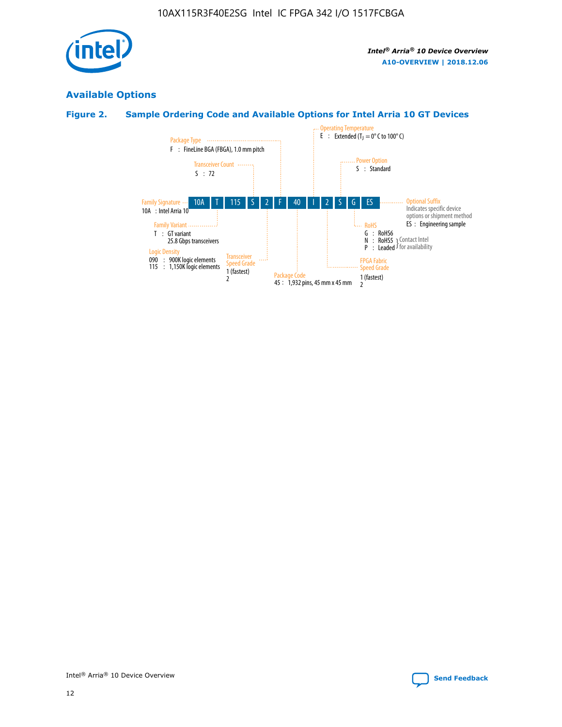

## **Available Options**

## **Figure 2. Sample Ordering Code and Available Options for Intel Arria 10 GT Devices**

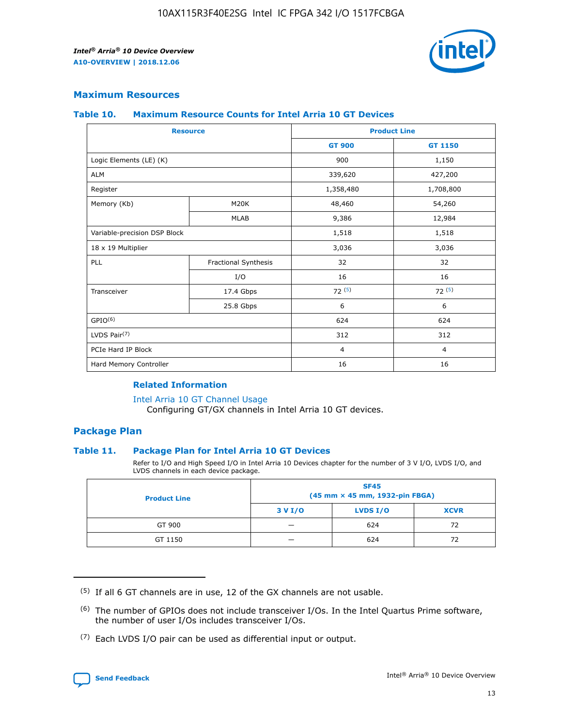

## **Maximum Resources**

#### **Table 10. Maximum Resource Counts for Intel Arria 10 GT Devices**

| <b>Resource</b>              |                      |                | <b>Product Line</b> |  |
|------------------------------|----------------------|----------------|---------------------|--|
|                              |                      | <b>GT 900</b>  | <b>GT 1150</b>      |  |
| Logic Elements (LE) (K)      |                      | 900            | 1,150               |  |
| <b>ALM</b>                   |                      | 339,620        | 427,200             |  |
| Register                     |                      | 1,358,480      | 1,708,800           |  |
| Memory (Kb)                  | M <sub>20</sub> K    | 48,460         | 54,260              |  |
|                              | <b>MLAB</b>          | 9,386          | 12,984              |  |
| Variable-precision DSP Block |                      | 1,518          | 1,518               |  |
| 18 x 19 Multiplier           |                      | 3,036          | 3,036               |  |
| PLL                          | Fractional Synthesis | 32             | 32                  |  |
|                              | I/O                  | 16             | 16                  |  |
| Transceiver                  | 17.4 Gbps            | 72(5)          | 72(5)               |  |
|                              | 25.8 Gbps            | 6              | 6                   |  |
| GPIO <sup>(6)</sup>          |                      | 624            | 624                 |  |
| LVDS Pair $(7)$              |                      | 312            | 312                 |  |
| PCIe Hard IP Block           |                      | $\overline{4}$ | $\overline{4}$      |  |
| Hard Memory Controller       |                      | 16             | 16                  |  |

### **Related Information**

#### [Intel Arria 10 GT Channel Usage](https://www.intel.com/content/www/us/en/programmable/documentation/nik1398707230472.html#nik1398707008178)

Configuring GT/GX channels in Intel Arria 10 GT devices.

## **Package Plan**

#### **Table 11. Package Plan for Intel Arria 10 GT Devices**

Refer to I/O and High Speed I/O in Intel Arria 10 Devices chapter for the number of 3 V I/O, LVDS I/O, and LVDS channels in each device package.

| <b>Product Line</b> | <b>SF45</b><br>(45 mm × 45 mm, 1932-pin FBGA) |                 |             |  |  |  |
|---------------------|-----------------------------------------------|-----------------|-------------|--|--|--|
|                     | 3 V I/O                                       | <b>LVDS I/O</b> | <b>XCVR</b> |  |  |  |
| GT 900              |                                               | 624             | 72          |  |  |  |
| GT 1150             |                                               | 624             |             |  |  |  |

<sup>(7)</sup> Each LVDS I/O pair can be used as differential input or output.



 $(5)$  If all 6 GT channels are in use, 12 of the GX channels are not usable.

<sup>(6)</sup> The number of GPIOs does not include transceiver I/Os. In the Intel Quartus Prime software, the number of user I/Os includes transceiver I/Os.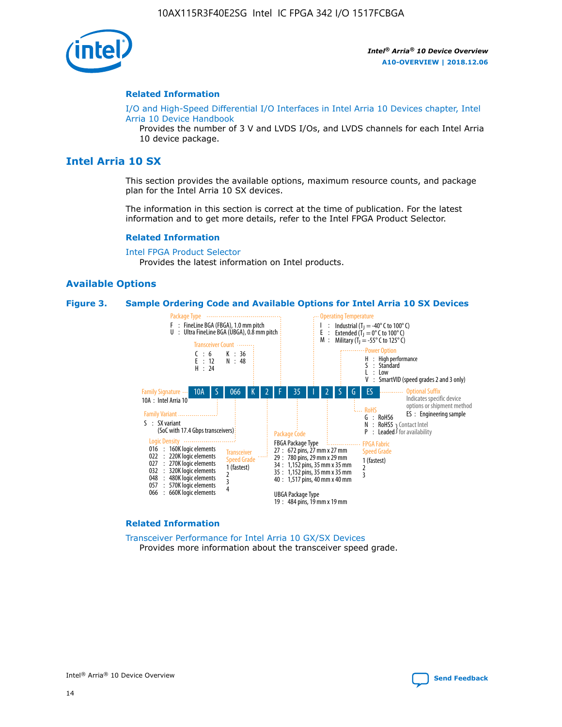

#### **Related Information**

[I/O and High-Speed Differential I/O Interfaces in Intel Arria 10 Devices chapter, Intel](https://www.intel.com/content/www/us/en/programmable/documentation/sam1403482614086.html#sam1403482030321) [Arria 10 Device Handbook](https://www.intel.com/content/www/us/en/programmable/documentation/sam1403482614086.html#sam1403482030321)

Provides the number of 3 V and LVDS I/Os, and LVDS channels for each Intel Arria 10 device package.

## **Intel Arria 10 SX**

This section provides the available options, maximum resource counts, and package plan for the Intel Arria 10 SX devices.

The information in this section is correct at the time of publication. For the latest information and to get more details, refer to the Intel FPGA Product Selector.

#### **Related Information**

[Intel FPGA Product Selector](http://www.altera.com/products/selector/psg-selector.html) Provides the latest information on Intel products.

#### **Available Options**

#### **Figure 3. Sample Ordering Code and Available Options for Intel Arria 10 SX Devices**



#### **Related Information**

[Transceiver Performance for Intel Arria 10 GX/SX Devices](https://www.intel.com/content/www/us/en/programmable/documentation/mcn1413182292568.html#mcn1413213965502) Provides more information about the transceiver speed grade.

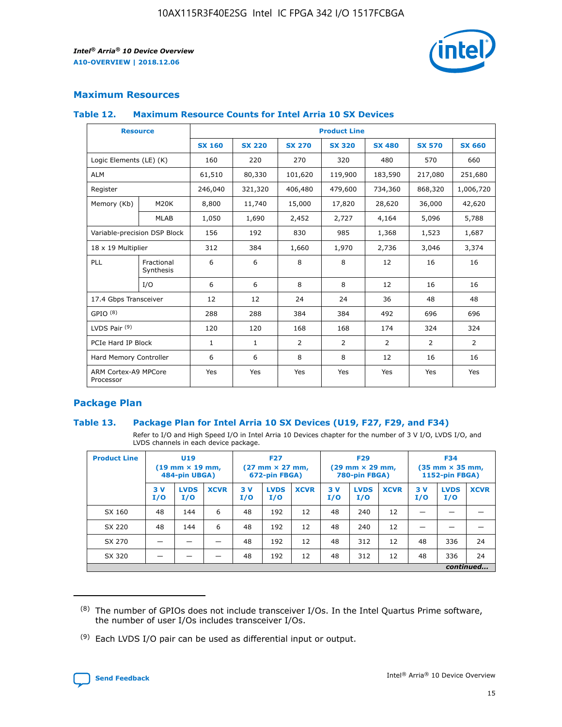

## **Maximum Resources**

#### **Table 12. Maximum Resource Counts for Intel Arria 10 SX Devices**

| <b>Resource</b>                   |                         | <b>Product Line</b> |               |                |                |               |                |               |  |  |  |
|-----------------------------------|-------------------------|---------------------|---------------|----------------|----------------|---------------|----------------|---------------|--|--|--|
|                                   |                         | <b>SX 160</b>       | <b>SX 220</b> | <b>SX 270</b>  | <b>SX 320</b>  | <b>SX 480</b> | <b>SX 570</b>  | <b>SX 660</b> |  |  |  |
| Logic Elements (LE) (K)           |                         | 160                 | 220           | 270            | 320            | 480           | 570            | 660           |  |  |  |
| <b>ALM</b>                        |                         | 61,510              | 80,330        | 101,620        | 119,900        | 183,590       | 217,080        | 251,680       |  |  |  |
| Register                          |                         | 246,040             | 321,320       | 406,480        | 479,600        | 734,360       | 868,320        | 1,006,720     |  |  |  |
| Memory (Kb)                       | <b>M20K</b>             | 8,800               | 11,740        | 15,000         | 17,820         | 28,620        | 36,000         | 42,620        |  |  |  |
|                                   | <b>MLAB</b>             | 1,050               | 1,690         | 2,452          | 2,727          | 4,164         | 5,096          | 5,788         |  |  |  |
| Variable-precision DSP Block      |                         | 156                 | 192           | 830            | 985            | 1,368         | 1,523          | 1,687         |  |  |  |
| 18 x 19 Multiplier                |                         | 312                 | 384           | 1,660          | 1,970          | 2,736         | 3,046          | 3,374         |  |  |  |
| PLL                               | Fractional<br>Synthesis | 6                   | 6             | 8              | 8              | 12            | 16             | 16            |  |  |  |
|                                   | I/O                     | 6                   | 6             | 8              | 8              | 12            | 16             | 16            |  |  |  |
| 17.4 Gbps Transceiver             |                         | 12                  | 12            | 24             | 24             | 36            | 48             | 48            |  |  |  |
| GPIO <sup>(8)</sup>               |                         | 288                 | 288           | 384            | 384            | 492           | 696            | 696           |  |  |  |
| LVDS Pair $(9)$                   |                         | 120                 | 120           | 168            | 168            | 174           | 324            | 324           |  |  |  |
| PCIe Hard IP Block                |                         | $\mathbf{1}$        | 1             | $\overline{2}$ | $\overline{2}$ | 2             | $\overline{2}$ | 2             |  |  |  |
| Hard Memory Controller            |                         | 6                   | 6             | 8              | 8              | 12            | 16             | 16            |  |  |  |
| ARM Cortex-A9 MPCore<br>Processor |                         | Yes                 | Yes           | Yes            | Yes            | Yes           | Yes            | Yes           |  |  |  |

## **Package Plan**

#### **Table 13. Package Plan for Intel Arria 10 SX Devices (U19, F27, F29, and F34)**

Refer to I/O and High Speed I/O in Intel Arria 10 Devices chapter for the number of 3 V I/O, LVDS I/O, and LVDS channels in each device package.

| <b>Product Line</b> | U19<br>$(19 \text{ mm} \times 19 \text{ mm})$<br>484-pin UBGA) |                    | <b>F27</b><br>$(27 \text{ mm} \times 27 \text{ mm})$<br>672-pin FBGA) |           | <b>F29</b><br>$(29 \text{ mm} \times 29 \text{ mm})$<br>780-pin FBGA) |             |            | <b>F34</b><br>$(35 \text{ mm} \times 35 \text{ mm})$<br><b>1152-pin FBGA)</b> |             |           |                    |             |
|---------------------|----------------------------------------------------------------|--------------------|-----------------------------------------------------------------------|-----------|-----------------------------------------------------------------------|-------------|------------|-------------------------------------------------------------------------------|-------------|-----------|--------------------|-------------|
|                     | 3V<br>I/O                                                      | <b>LVDS</b><br>I/O | <b>XCVR</b>                                                           | 3V<br>I/O | <b>LVDS</b><br>I/O                                                    | <b>XCVR</b> | 3 V<br>I/O | <b>LVDS</b><br>I/O                                                            | <b>XCVR</b> | 3V<br>I/O | <b>LVDS</b><br>I/O | <b>XCVR</b> |
| SX 160              | 48                                                             | 144                | 6                                                                     | 48        | 192                                                                   | 12          | 48         | 240                                                                           | 12          | –         |                    |             |
| SX 220              | 48                                                             | 144                | 6                                                                     | 48        | 192                                                                   | 12          | 48         | 240                                                                           | 12          |           |                    |             |
| SX 270              |                                                                |                    |                                                                       | 48        | 192                                                                   | 12          | 48         | 312                                                                           | 12          | 48        | 336                | 24          |
| SX 320              |                                                                |                    |                                                                       | 48        | 192                                                                   | 12          | 48         | 312                                                                           | 12          | 48        | 336                | 24          |
|                     |                                                                |                    |                                                                       |           |                                                                       |             |            |                                                                               |             |           |                    | continued   |

 $(8)$  The number of GPIOs does not include transceiver I/Os. In the Intel Quartus Prime software, the number of user I/Os includes transceiver I/Os.

 $(9)$  Each LVDS I/O pair can be used as differential input or output.

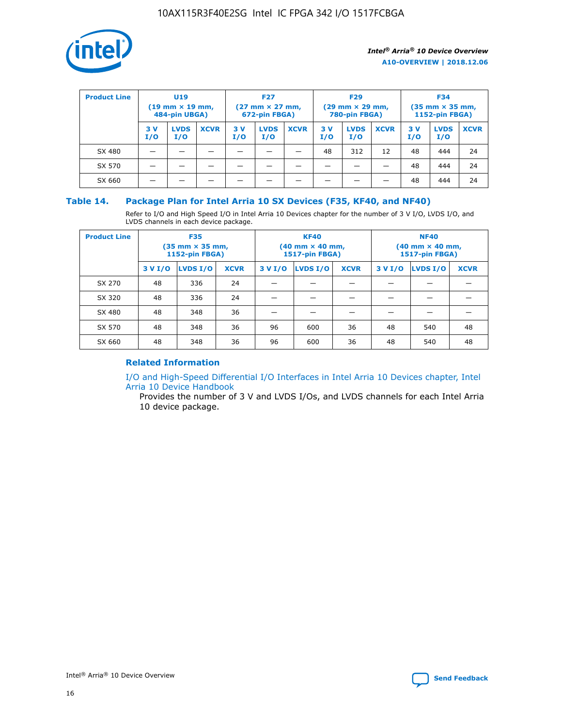

| <b>Product Line</b> | U <sub>19</sub><br>$(19 \text{ mm} \times 19 \text{ mm})$<br>484-pin UBGA) |                    | <b>F27</b><br>$(27 \text{ mm} \times 27 \text{ mm})$<br>672-pin FBGA) |           | <b>F29</b><br>$(29 \text{ mm} \times 29 \text{ mm})$<br>780-pin FBGA) |             |           | <b>F34</b><br>$(35$ mm $\times$ 35 mm,<br><b>1152-pin FBGA)</b> |             |           |                    |             |
|---------------------|----------------------------------------------------------------------------|--------------------|-----------------------------------------------------------------------|-----------|-----------------------------------------------------------------------|-------------|-----------|-----------------------------------------------------------------|-------------|-----------|--------------------|-------------|
|                     | 3V<br>I/O                                                                  | <b>LVDS</b><br>I/O | <b>XCVR</b>                                                           | 3V<br>I/O | <b>LVDS</b><br>I/O                                                    | <b>XCVR</b> | 3V<br>I/O | <b>LVDS</b><br>I/O                                              | <b>XCVR</b> | 3V<br>I/O | <b>LVDS</b><br>I/O | <b>XCVR</b> |
| SX 480              |                                                                            |                    |                                                                       |           |                                                                       |             | 48        | 312                                                             | 12          | 48        | 444                | 24          |
| SX 570              |                                                                            |                    |                                                                       |           |                                                                       |             |           |                                                                 |             | 48        | 444                | 24          |
| SX 660              |                                                                            |                    |                                                                       |           |                                                                       |             |           |                                                                 |             | 48        | 444                | 24          |

## **Table 14. Package Plan for Intel Arria 10 SX Devices (F35, KF40, and NF40)**

Refer to I/O and High Speed I/O in Intel Arria 10 Devices chapter for the number of 3 V I/O, LVDS I/O, and LVDS channels in each device package.

| <b>Product Line</b> | <b>F35</b><br>$(35 \text{ mm} \times 35 \text{ mm})$<br><b>1152-pin FBGA)</b> |          |             |                                           | <b>KF40</b><br>(40 mm × 40 mm,<br>1517-pin FBGA) |    | <b>NF40</b><br>$(40 \text{ mm} \times 40 \text{ mm})$<br>1517-pin FBGA) |          |             |  |
|---------------------|-------------------------------------------------------------------------------|----------|-------------|-------------------------------------------|--------------------------------------------------|----|-------------------------------------------------------------------------|----------|-------------|--|
|                     | 3 V I/O                                                                       | LVDS I/O | <b>XCVR</b> | <b>LVDS I/O</b><br><b>XCVR</b><br>3 V I/O |                                                  |    | 3 V I/O                                                                 | LVDS I/O | <b>XCVR</b> |  |
| SX 270              | 48                                                                            | 336      | 24          |                                           |                                                  |    |                                                                         |          |             |  |
| SX 320              | 48                                                                            | 336      | 24          |                                           |                                                  |    |                                                                         |          |             |  |
| SX 480              | 48                                                                            | 348      | 36          |                                           |                                                  |    |                                                                         |          |             |  |
| SX 570              | 48                                                                            | 348      | 36          | 96<br>36<br>600                           |                                                  | 48 | 540                                                                     | 48       |             |  |
| SX 660              | 48                                                                            | 348      | 36          | 96                                        | 600                                              | 36 | 48                                                                      | 540      | 48          |  |

## **Related Information**

[I/O and High-Speed Differential I/O Interfaces in Intel Arria 10 Devices chapter, Intel](https://www.intel.com/content/www/us/en/programmable/documentation/sam1403482614086.html#sam1403482030321) [Arria 10 Device Handbook](https://www.intel.com/content/www/us/en/programmable/documentation/sam1403482614086.html#sam1403482030321)

Provides the number of 3 V and LVDS I/Os, and LVDS channels for each Intel Arria 10 device package.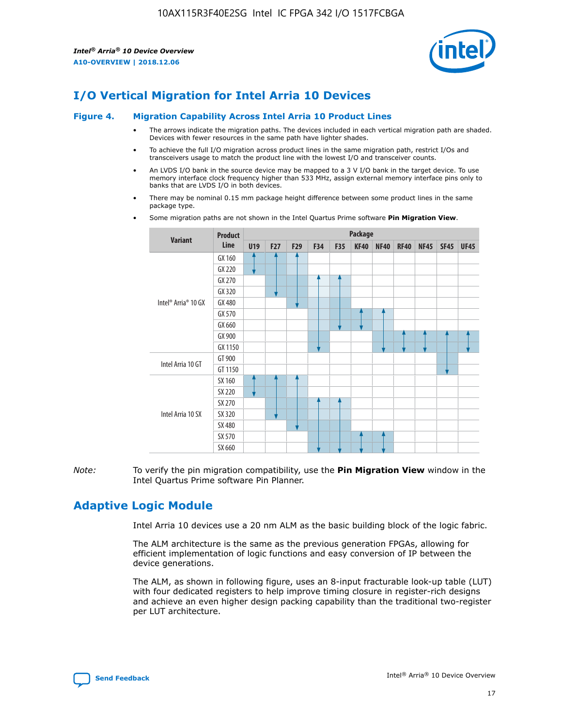

# **I/O Vertical Migration for Intel Arria 10 Devices**

#### **Figure 4. Migration Capability Across Intel Arria 10 Product Lines**

- The arrows indicate the migration paths. The devices included in each vertical migration path are shaded. Devices with fewer resources in the same path have lighter shades.
- To achieve the full I/O migration across product lines in the same migration path, restrict I/Os and transceivers usage to match the product line with the lowest I/O and transceiver counts.
- An LVDS I/O bank in the source device may be mapped to a 3 V I/O bank in the target device. To use memory interface clock frequency higher than 533 MHz, assign external memory interface pins only to banks that are LVDS I/O in both devices.
- There may be nominal 0.15 mm package height difference between some product lines in the same package type.
	- **Variant Product Line Package U19 F27 F29 F34 F35 KF40 NF40 RF40 NF45 SF45 UF45** Intel® Arria® 10 GX GX 160 GX 220 GX 270 GX 320 GX 480 GX 570 GX 660 GX 900 GX 1150 Intel Arria 10 GT GT 900 GT 1150 Intel Arria 10 SX SX 160 SX 220 SX 270 SX 320 SX 480 SX 570 SX 660
- Some migration paths are not shown in the Intel Quartus Prime software **Pin Migration View**.

*Note:* To verify the pin migration compatibility, use the **Pin Migration View** window in the Intel Quartus Prime software Pin Planner.

# **Adaptive Logic Module**

Intel Arria 10 devices use a 20 nm ALM as the basic building block of the logic fabric.

The ALM architecture is the same as the previous generation FPGAs, allowing for efficient implementation of logic functions and easy conversion of IP between the device generations.

The ALM, as shown in following figure, uses an 8-input fracturable look-up table (LUT) with four dedicated registers to help improve timing closure in register-rich designs and achieve an even higher design packing capability than the traditional two-register per LUT architecture.

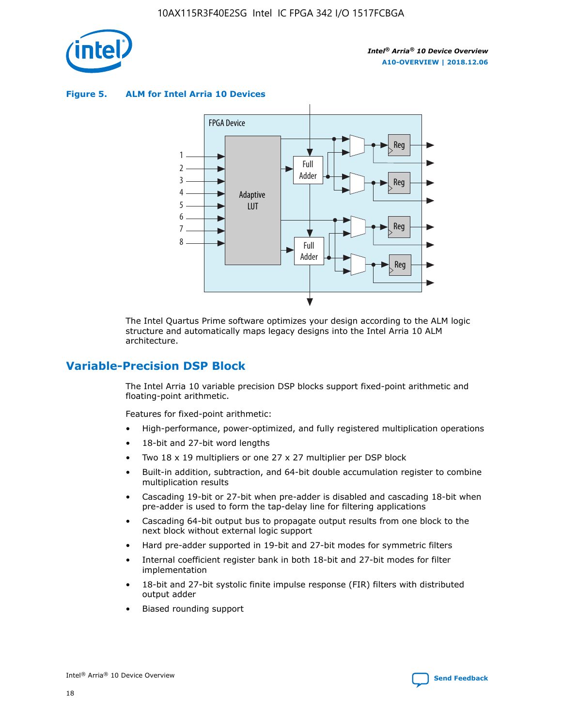

**Figure 5. ALM for Intel Arria 10 Devices**



The Intel Quartus Prime software optimizes your design according to the ALM logic structure and automatically maps legacy designs into the Intel Arria 10 ALM architecture.

## **Variable-Precision DSP Block**

The Intel Arria 10 variable precision DSP blocks support fixed-point arithmetic and floating-point arithmetic.

Features for fixed-point arithmetic:

- High-performance, power-optimized, and fully registered multiplication operations
- 18-bit and 27-bit word lengths
- Two 18 x 19 multipliers or one 27 x 27 multiplier per DSP block
- Built-in addition, subtraction, and 64-bit double accumulation register to combine multiplication results
- Cascading 19-bit or 27-bit when pre-adder is disabled and cascading 18-bit when pre-adder is used to form the tap-delay line for filtering applications
- Cascading 64-bit output bus to propagate output results from one block to the next block without external logic support
- Hard pre-adder supported in 19-bit and 27-bit modes for symmetric filters
- Internal coefficient register bank in both 18-bit and 27-bit modes for filter implementation
- 18-bit and 27-bit systolic finite impulse response (FIR) filters with distributed output adder
- Biased rounding support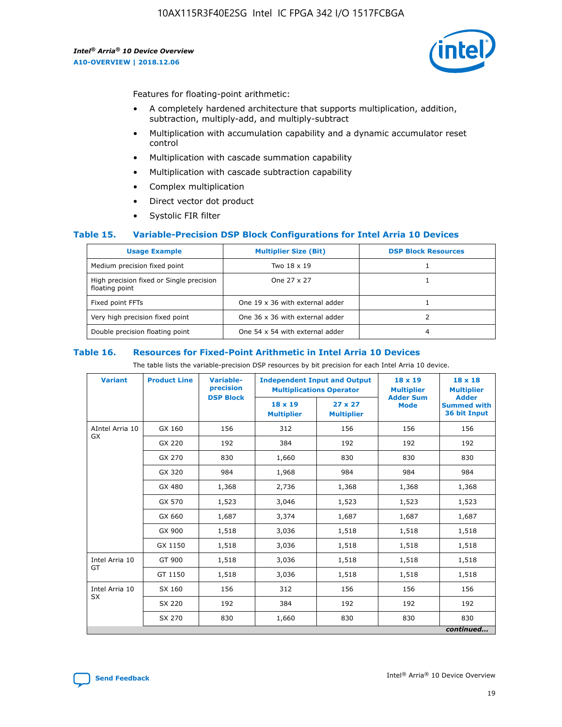

Features for floating-point arithmetic:

- A completely hardened architecture that supports multiplication, addition, subtraction, multiply-add, and multiply-subtract
- Multiplication with accumulation capability and a dynamic accumulator reset control
- Multiplication with cascade summation capability
- Multiplication with cascade subtraction capability
- Complex multiplication
- Direct vector dot product
- Systolic FIR filter

#### **Table 15. Variable-Precision DSP Block Configurations for Intel Arria 10 Devices**

| <b>Usage Example</b>                                       | <b>Multiplier Size (Bit)</b>    | <b>DSP Block Resources</b> |
|------------------------------------------------------------|---------------------------------|----------------------------|
| Medium precision fixed point                               | Two 18 x 19                     |                            |
| High precision fixed or Single precision<br>floating point | One 27 x 27                     |                            |
| Fixed point FFTs                                           | One 19 x 36 with external adder |                            |
| Very high precision fixed point                            | One 36 x 36 with external adder |                            |
| Double precision floating point                            | One 54 x 54 with external adder | 4                          |

#### **Table 16. Resources for Fixed-Point Arithmetic in Intel Arria 10 Devices**

The table lists the variable-precision DSP resources by bit precision for each Intel Arria 10 device.

| <b>Variant</b>  | <b>Product Line</b> | Variable-<br>precision | <b>Independent Input and Output</b><br><b>Multiplications Operator</b> |                                     | $18 \times 19$<br><b>Multiplier</b><br><b>Adder Sum</b> | $18 \times 18$<br><b>Multiplier</b>                |
|-----------------|---------------------|------------------------|------------------------------------------------------------------------|-------------------------------------|---------------------------------------------------------|----------------------------------------------------|
|                 |                     | <b>DSP Block</b>       | $18 \times 19$<br><b>Multiplier</b>                                    | $27 \times 27$<br><b>Multiplier</b> | <b>Mode</b>                                             | <b>Adder</b><br><b>Summed with</b><br>36 bit Input |
| AIntel Arria 10 | GX 160              | 156                    | 312                                                                    | 156                                 | 156                                                     | 156                                                |
| <b>GX</b>       | GX 220              | 192                    | 384                                                                    | 192                                 | 192                                                     | 192                                                |
|                 | GX 270              | 830                    | 1,660                                                                  | 830                                 | 830                                                     | 830                                                |
|                 | GX 320              | 984                    | 1,968                                                                  | 984                                 | 984                                                     | 984                                                |
|                 | GX 480              | 1,368                  | 2,736                                                                  | 1,368                               | 1,368                                                   | 1,368                                              |
|                 | GX 570              | 1,523                  | 3,046                                                                  | 1,523                               | 1,523                                                   | 1,523                                              |
|                 | GX 660              | 1,687                  | 3,374                                                                  | 1,687                               | 1,687                                                   | 1,687                                              |
|                 | GX 900              | 1,518                  | 3,036                                                                  | 1,518                               | 1,518                                                   | 1,518                                              |
|                 | GX 1150             | 1,518                  | 3,036                                                                  | 1,518                               | 1,518                                                   | 1,518                                              |
| Intel Arria 10  | GT 900              | 1,518                  | 3,036                                                                  | 1,518                               | 1,518                                                   | 1,518                                              |
| GT              | GT 1150             | 1,518                  | 3,036                                                                  | 1,518                               | 1,518                                                   | 1,518                                              |
| Intel Arria 10  | SX 160              | 156                    | 312                                                                    | 156                                 | 156                                                     | 156                                                |
| <b>SX</b>       | SX 220              | 192                    | 384                                                                    | 192                                 | 192                                                     | 192                                                |
|                 | SX 270              | 830                    | 1,660                                                                  | 830                                 | 830                                                     | 830                                                |
|                 |                     |                        |                                                                        |                                     |                                                         | continued                                          |

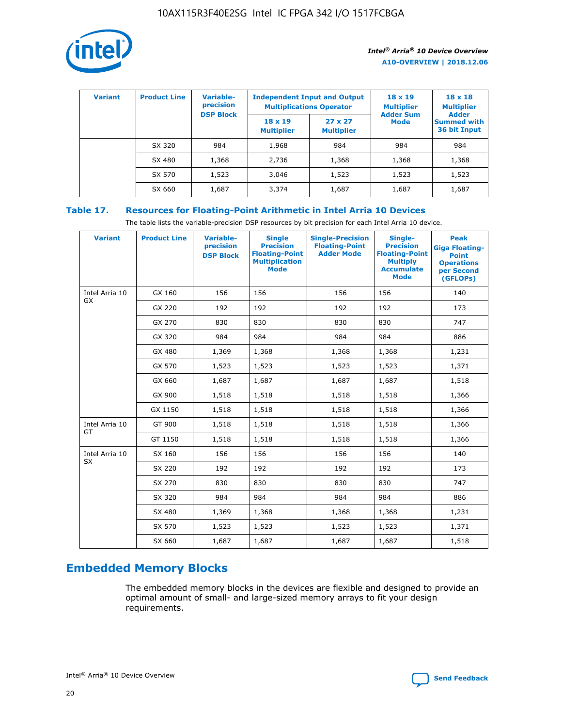

| <b>Variant</b> | <b>Product Line</b> | <b>Variable-</b><br>precision |                                     | <b>Independent Input and Output</b><br><b>Multiplications Operator</b> | $18 \times 19$<br><b>Multiplier</b> | $18 \times 18$<br><b>Multiplier</b>                |
|----------------|---------------------|-------------------------------|-------------------------------------|------------------------------------------------------------------------|-------------------------------------|----------------------------------------------------|
|                |                     | <b>DSP Block</b>              | $18 \times 19$<br><b>Multiplier</b> | $27 \times 27$<br><b>Multiplier</b>                                    | <b>Adder Sum</b><br><b>Mode</b>     | <b>Adder</b><br><b>Summed with</b><br>36 bit Input |
|                | SX 320              | 984                           | 1,968                               | 984                                                                    | 984                                 | 984                                                |
|                | SX 480              | 1,368                         | 2,736                               | 1,368                                                                  | 1,368                               | 1,368                                              |
|                | SX 570              | 1,523                         | 3,046                               | 1,523                                                                  | 1,523                               | 1,523                                              |
|                | SX 660              | 1,687                         | 3,374                               | 1,687                                                                  | 1,687                               | 1,687                                              |

## **Table 17. Resources for Floating-Point Arithmetic in Intel Arria 10 Devices**

The table lists the variable-precision DSP resources by bit precision for each Intel Arria 10 device.

| <b>Variant</b>              | <b>Product Line</b> | <b>Variable-</b><br>precision<br><b>DSP Block</b> | <b>Single</b><br><b>Precision</b><br><b>Floating-Point</b><br><b>Multiplication</b><br><b>Mode</b> | <b>Single-Precision</b><br><b>Floating-Point</b><br><b>Adder Mode</b> | Single-<br><b>Precision</b><br><b>Floating-Point</b><br><b>Multiply</b><br><b>Accumulate</b><br><b>Mode</b> | <b>Peak</b><br><b>Giga Floating-</b><br><b>Point</b><br><b>Operations</b><br>per Second<br>(GFLOPs) |
|-----------------------------|---------------------|---------------------------------------------------|----------------------------------------------------------------------------------------------------|-----------------------------------------------------------------------|-------------------------------------------------------------------------------------------------------------|-----------------------------------------------------------------------------------------------------|
| Intel Arria 10<br><b>GX</b> | GX 160              | 156                                               | 156                                                                                                | 156                                                                   | 156                                                                                                         | 140                                                                                                 |
|                             | GX 220              | 192                                               | 192                                                                                                | 192                                                                   | 192                                                                                                         | 173                                                                                                 |
|                             | GX 270              | 830                                               | 830                                                                                                | 830                                                                   | 830                                                                                                         | 747                                                                                                 |
|                             | GX 320              | 984                                               | 984                                                                                                | 984                                                                   | 984                                                                                                         | 886                                                                                                 |
|                             | GX 480              | 1,369                                             | 1,368                                                                                              | 1,368                                                                 | 1,368                                                                                                       | 1,231                                                                                               |
|                             | GX 570              | 1,523                                             | 1,523                                                                                              | 1,523                                                                 | 1,523                                                                                                       | 1,371                                                                                               |
|                             | GX 660              | 1,687                                             | 1,687                                                                                              | 1,687                                                                 | 1,687                                                                                                       | 1,518                                                                                               |
|                             | GX 900              | 1,518                                             | 1,518                                                                                              | 1,518                                                                 | 1,518                                                                                                       | 1,366                                                                                               |
|                             | GX 1150             | 1,518                                             | 1,518                                                                                              | 1,518                                                                 | 1,518                                                                                                       | 1,366                                                                                               |
| Intel Arria 10              | GT 900              | 1,518                                             | 1,518                                                                                              | 1,518                                                                 | 1,518                                                                                                       | 1,366                                                                                               |
| GT                          | GT 1150             | 1,518                                             | 1,518                                                                                              | 1,518                                                                 | 1,518                                                                                                       | 1,366                                                                                               |
| Intel Arria 10              | SX 160              | 156                                               | 156                                                                                                | 156                                                                   | 156                                                                                                         | 140                                                                                                 |
| <b>SX</b>                   | SX 220              | 192                                               | 192                                                                                                | 192                                                                   | 192                                                                                                         | 173                                                                                                 |
|                             | SX 270              | 830                                               | 830                                                                                                | 830                                                                   | 830                                                                                                         | 747                                                                                                 |
|                             | SX 320              | 984                                               | 984                                                                                                | 984                                                                   | 984                                                                                                         | 886                                                                                                 |
|                             | SX 480              | 1,369                                             | 1,368                                                                                              | 1,368                                                                 | 1,368                                                                                                       | 1,231                                                                                               |
|                             | SX 570              | 1,523                                             | 1,523                                                                                              | 1,523                                                                 | 1,523                                                                                                       | 1,371                                                                                               |
|                             | SX 660              | 1,687                                             | 1,687                                                                                              | 1,687                                                                 | 1,687                                                                                                       | 1,518                                                                                               |

# **Embedded Memory Blocks**

The embedded memory blocks in the devices are flexible and designed to provide an optimal amount of small- and large-sized memory arrays to fit your design requirements.

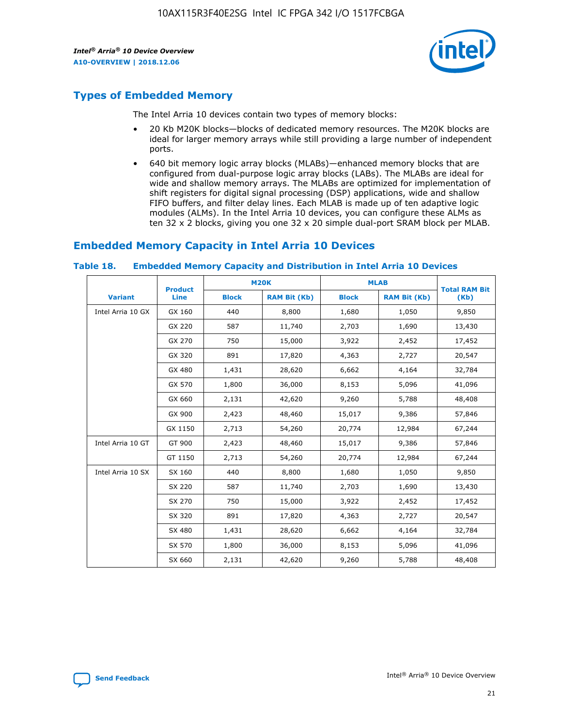

# **Types of Embedded Memory**

The Intel Arria 10 devices contain two types of memory blocks:

- 20 Kb M20K blocks—blocks of dedicated memory resources. The M20K blocks are ideal for larger memory arrays while still providing a large number of independent ports.
- 640 bit memory logic array blocks (MLABs)—enhanced memory blocks that are configured from dual-purpose logic array blocks (LABs). The MLABs are ideal for wide and shallow memory arrays. The MLABs are optimized for implementation of shift registers for digital signal processing (DSP) applications, wide and shallow FIFO buffers, and filter delay lines. Each MLAB is made up of ten adaptive logic modules (ALMs). In the Intel Arria 10 devices, you can configure these ALMs as ten 32 x 2 blocks, giving you one 32 x 20 simple dual-port SRAM block per MLAB.

# **Embedded Memory Capacity in Intel Arria 10 Devices**

|                   | <b>Product</b> |              | <b>M20K</b>         | <b>MLAB</b>  |                     | <b>Total RAM Bit</b> |
|-------------------|----------------|--------------|---------------------|--------------|---------------------|----------------------|
| <b>Variant</b>    | Line           | <b>Block</b> | <b>RAM Bit (Kb)</b> | <b>Block</b> | <b>RAM Bit (Kb)</b> | (Kb)                 |
| Intel Arria 10 GX | GX 160         | 440          | 8,800               | 1,680        | 1,050               | 9,850                |
|                   | GX 220         | 587          | 11,740              | 2,703        | 1,690               | 13,430               |
|                   | GX 270         | 750          | 15,000              | 3,922        | 2,452               | 17,452               |
|                   | GX 320         | 891          | 17,820              | 4,363        | 2,727               | 20,547               |
|                   | GX 480         | 1,431        | 28,620              | 6,662        | 4,164               | 32,784               |
|                   | GX 570         | 1,800        | 36,000              | 8,153        | 5,096               | 41,096               |
|                   | GX 660         | 2,131        | 42,620              | 9,260        | 5,788               | 48,408               |
|                   | GX 900         | 2,423        | 48,460              | 15,017       | 9,386               | 57,846               |
|                   | GX 1150        | 2,713        | 54,260              | 20,774       | 12,984              | 67,244               |
| Intel Arria 10 GT | GT 900         | 2,423        | 48,460              | 15,017       | 9,386               | 57,846               |
|                   | GT 1150        | 2,713        | 54,260              | 20,774       | 12,984              | 67,244               |
| Intel Arria 10 SX | SX 160         | 440          | 8,800               | 1,680        | 1,050               | 9,850                |
|                   | SX 220         | 587          | 11,740              | 2,703        | 1,690               | 13,430               |
|                   | SX 270         | 750          | 15,000              | 3,922        | 2,452               | 17,452               |
|                   | SX 320         | 891          | 17,820              | 4,363        | 2,727               | 20,547               |
|                   | SX 480         | 1,431        | 28,620              | 6,662        | 4,164               | 32,784               |
|                   | SX 570         | 1,800        | 36,000              | 8,153        | 5,096               | 41,096               |
|                   | SX 660         | 2,131        | 42,620              | 9,260        | 5,788               | 48,408               |

#### **Table 18. Embedded Memory Capacity and Distribution in Intel Arria 10 Devices**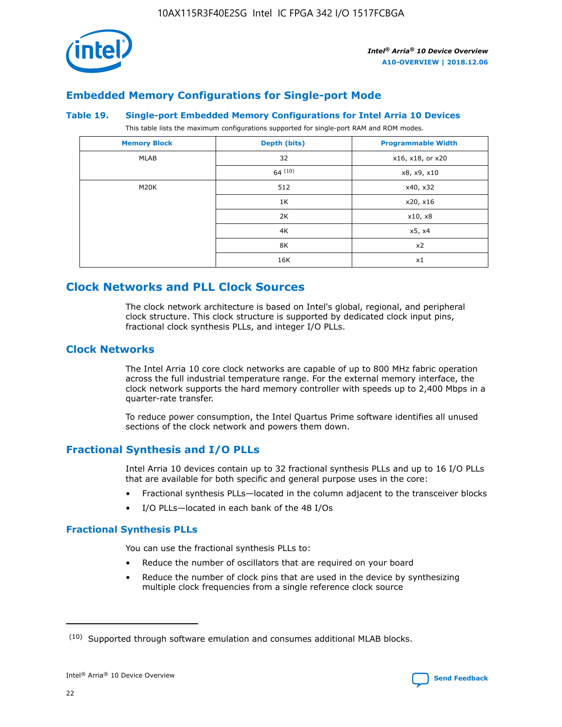

## **Embedded Memory Configurations for Single-port Mode**

#### **Table 19. Single-port Embedded Memory Configurations for Intel Arria 10 Devices**

This table lists the maximum configurations supported for single-port RAM and ROM modes.

| <b>Memory Block</b> | Depth (bits) | <b>Programmable Width</b> |
|---------------------|--------------|---------------------------|
| MLAB                | 32           | x16, x18, or x20          |
|                     | 64(10)       | x8, x9, x10               |
| M20K                | 512          | x40, x32                  |
|                     | 1K           | x20, x16                  |
|                     | 2K           | x10, x8                   |
|                     | 4K           | x5, x4                    |
|                     | 8K           | x2                        |
|                     | 16K          | x1                        |

## **Clock Networks and PLL Clock Sources**

The clock network architecture is based on Intel's global, regional, and peripheral clock structure. This clock structure is supported by dedicated clock input pins, fractional clock synthesis PLLs, and integer I/O PLLs.

## **Clock Networks**

The Intel Arria 10 core clock networks are capable of up to 800 MHz fabric operation across the full industrial temperature range. For the external memory interface, the clock network supports the hard memory controller with speeds up to 2,400 Mbps in a quarter-rate transfer.

To reduce power consumption, the Intel Quartus Prime software identifies all unused sections of the clock network and powers them down.

## **Fractional Synthesis and I/O PLLs**

Intel Arria 10 devices contain up to 32 fractional synthesis PLLs and up to 16 I/O PLLs that are available for both specific and general purpose uses in the core:

- Fractional synthesis PLLs—located in the column adjacent to the transceiver blocks
- I/O PLLs—located in each bank of the 48 I/Os

#### **Fractional Synthesis PLLs**

You can use the fractional synthesis PLLs to:

- Reduce the number of oscillators that are required on your board
- Reduce the number of clock pins that are used in the device by synthesizing multiple clock frequencies from a single reference clock source

<sup>(10)</sup> Supported through software emulation and consumes additional MLAB blocks.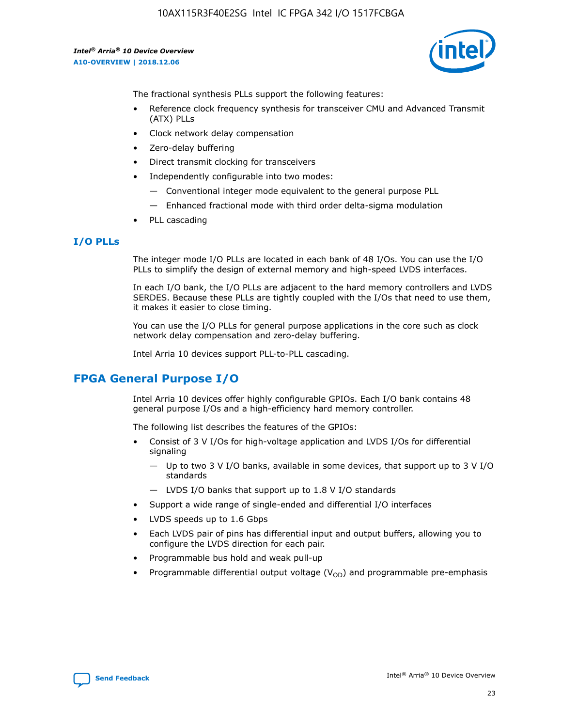10AX115R3F40E2SG Intel IC FPGA 342 I/O 1517FCBGA

*Intel® Arria® 10 Device Overview* **A10-OVERVIEW | 2018.12.06**



The fractional synthesis PLLs support the following features:

- Reference clock frequency synthesis for transceiver CMU and Advanced Transmit (ATX) PLLs
- Clock network delay compensation
- Zero-delay buffering
- Direct transmit clocking for transceivers
- Independently configurable into two modes:
	- Conventional integer mode equivalent to the general purpose PLL
	- Enhanced fractional mode with third order delta-sigma modulation
- PLL cascading

#### **I/O PLLs**

The integer mode I/O PLLs are located in each bank of 48 I/Os. You can use the I/O PLLs to simplify the design of external memory and high-speed LVDS interfaces.

In each I/O bank, the I/O PLLs are adjacent to the hard memory controllers and LVDS SERDES. Because these PLLs are tightly coupled with the I/Os that need to use them, it makes it easier to close timing.

You can use the I/O PLLs for general purpose applications in the core such as clock network delay compensation and zero-delay buffering.

Intel Arria 10 devices support PLL-to-PLL cascading.

## **FPGA General Purpose I/O**

Intel Arria 10 devices offer highly configurable GPIOs. Each I/O bank contains 48 general purpose I/Os and a high-efficiency hard memory controller.

The following list describes the features of the GPIOs:

- Consist of 3 V I/Os for high-voltage application and LVDS I/Os for differential signaling
	- Up to two 3 V I/O banks, available in some devices, that support up to 3 V I/O standards
	- LVDS I/O banks that support up to 1.8 V I/O standards
- Support a wide range of single-ended and differential I/O interfaces
- LVDS speeds up to 1.6 Gbps
- Each LVDS pair of pins has differential input and output buffers, allowing you to configure the LVDS direction for each pair.
- Programmable bus hold and weak pull-up
- Programmable differential output voltage  $(V_{OD})$  and programmable pre-emphasis

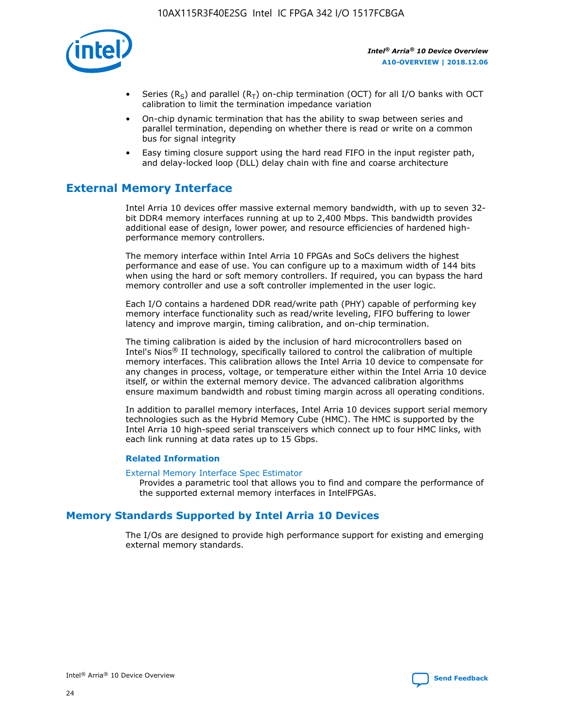

- Series (R<sub>S</sub>) and parallel (R<sub>T</sub>) on-chip termination (OCT) for all I/O banks with OCT calibration to limit the termination impedance variation
- On-chip dynamic termination that has the ability to swap between series and parallel termination, depending on whether there is read or write on a common bus for signal integrity
- Easy timing closure support using the hard read FIFO in the input register path, and delay-locked loop (DLL) delay chain with fine and coarse architecture

# **External Memory Interface**

Intel Arria 10 devices offer massive external memory bandwidth, with up to seven 32 bit DDR4 memory interfaces running at up to 2,400 Mbps. This bandwidth provides additional ease of design, lower power, and resource efficiencies of hardened highperformance memory controllers.

The memory interface within Intel Arria 10 FPGAs and SoCs delivers the highest performance and ease of use. You can configure up to a maximum width of 144 bits when using the hard or soft memory controllers. If required, you can bypass the hard memory controller and use a soft controller implemented in the user logic.

Each I/O contains a hardened DDR read/write path (PHY) capable of performing key memory interface functionality such as read/write leveling, FIFO buffering to lower latency and improve margin, timing calibration, and on-chip termination.

The timing calibration is aided by the inclusion of hard microcontrollers based on Intel's Nios® II technology, specifically tailored to control the calibration of multiple memory interfaces. This calibration allows the Intel Arria 10 device to compensate for any changes in process, voltage, or temperature either within the Intel Arria 10 device itself, or within the external memory device. The advanced calibration algorithms ensure maximum bandwidth and robust timing margin across all operating conditions.

In addition to parallel memory interfaces, Intel Arria 10 devices support serial memory technologies such as the Hybrid Memory Cube (HMC). The HMC is supported by the Intel Arria 10 high-speed serial transceivers which connect up to four HMC links, with each link running at data rates up to 15 Gbps.

#### **Related Information**

#### [External Memory Interface Spec Estimator](http://www.altera.com/technology/memory/estimator/mem-emif-index.html)

Provides a parametric tool that allows you to find and compare the performance of the supported external memory interfaces in IntelFPGAs.

## **Memory Standards Supported by Intel Arria 10 Devices**

The I/Os are designed to provide high performance support for existing and emerging external memory standards.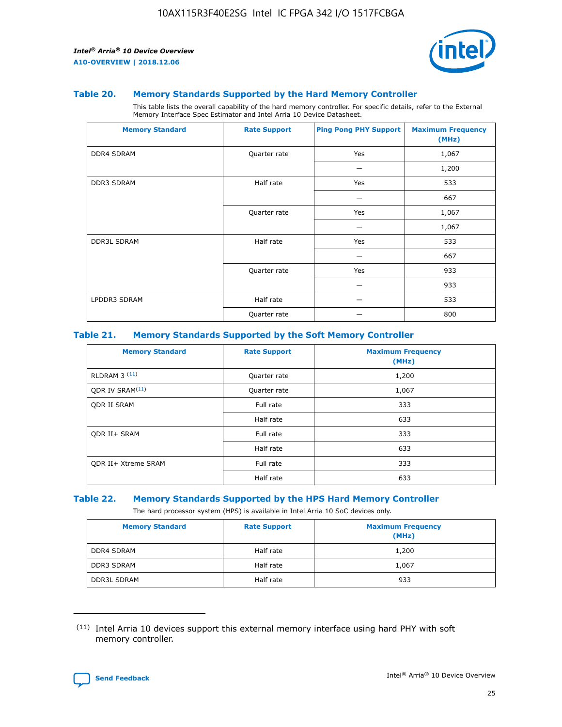

#### **Table 20. Memory Standards Supported by the Hard Memory Controller**

This table lists the overall capability of the hard memory controller. For specific details, refer to the External Memory Interface Spec Estimator and Intel Arria 10 Device Datasheet.

| <b>Memory Standard</b> | <b>Rate Support</b> | <b>Ping Pong PHY Support</b> | <b>Maximum Frequency</b><br>(MHz) |
|------------------------|---------------------|------------------------------|-----------------------------------|
| <b>DDR4 SDRAM</b>      | Quarter rate        | Yes                          | 1,067                             |
|                        |                     |                              | 1,200                             |
| DDR3 SDRAM             | Half rate           | Yes                          | 533                               |
|                        |                     |                              | 667                               |
|                        | Quarter rate        | Yes                          | 1,067                             |
|                        |                     |                              | 1,067                             |
| <b>DDR3L SDRAM</b>     | Half rate           | Yes                          | 533                               |
|                        |                     |                              | 667                               |
|                        | Quarter rate        | Yes                          | 933                               |
|                        |                     |                              | 933                               |
| LPDDR3 SDRAM           | Half rate           |                              | 533                               |
|                        | Quarter rate        |                              | 800                               |

#### **Table 21. Memory Standards Supported by the Soft Memory Controller**

| <b>Memory Standard</b>      | <b>Rate Support</b> | <b>Maximum Frequency</b><br>(MHz) |
|-----------------------------|---------------------|-----------------------------------|
| <b>RLDRAM 3 (11)</b>        | Quarter rate        | 1,200                             |
| ODR IV SRAM <sup>(11)</sup> | Quarter rate        | 1,067                             |
| <b>ODR II SRAM</b>          | Full rate           | 333                               |
|                             | Half rate           | 633                               |
| <b>ODR II+ SRAM</b>         | Full rate           | 333                               |
|                             | Half rate           | 633                               |
| <b>ODR II+ Xtreme SRAM</b>  | Full rate           | 333                               |
|                             | Half rate           | 633                               |

#### **Table 22. Memory Standards Supported by the HPS Hard Memory Controller**

The hard processor system (HPS) is available in Intel Arria 10 SoC devices only.

| <b>Memory Standard</b> | <b>Rate Support</b> | <b>Maximum Frequency</b><br>(MHz) |
|------------------------|---------------------|-----------------------------------|
| <b>DDR4 SDRAM</b>      | Half rate           | 1,200                             |
| <b>DDR3 SDRAM</b>      | Half rate           | 1,067                             |
| <b>DDR3L SDRAM</b>     | Half rate           | 933                               |

<sup>(11)</sup> Intel Arria 10 devices support this external memory interface using hard PHY with soft memory controller.

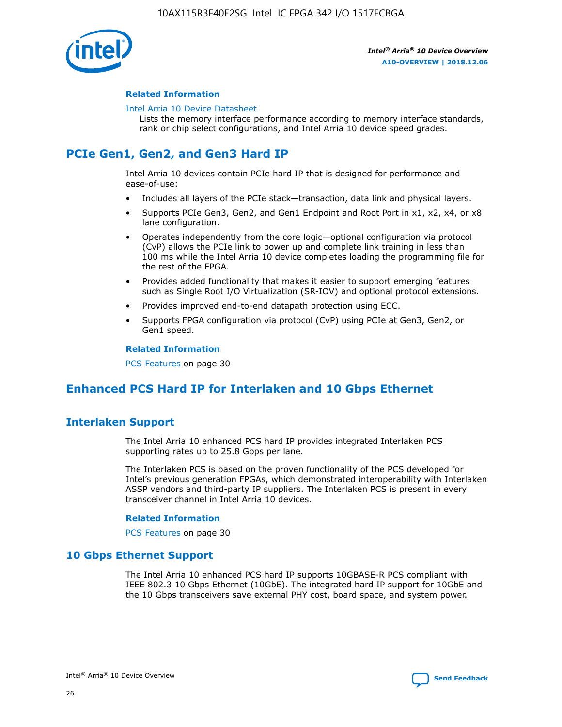

#### **Related Information**

#### [Intel Arria 10 Device Datasheet](https://www.intel.com/content/www/us/en/programmable/documentation/mcn1413182292568.html#mcn1413182153340)

Lists the memory interface performance according to memory interface standards, rank or chip select configurations, and Intel Arria 10 device speed grades.

# **PCIe Gen1, Gen2, and Gen3 Hard IP**

Intel Arria 10 devices contain PCIe hard IP that is designed for performance and ease-of-use:

- Includes all layers of the PCIe stack—transaction, data link and physical layers.
- Supports PCIe Gen3, Gen2, and Gen1 Endpoint and Root Port in x1, x2, x4, or x8 lane configuration.
- Operates independently from the core logic—optional configuration via protocol (CvP) allows the PCIe link to power up and complete link training in less than 100 ms while the Intel Arria 10 device completes loading the programming file for the rest of the FPGA.
- Provides added functionality that makes it easier to support emerging features such as Single Root I/O Virtualization (SR-IOV) and optional protocol extensions.
- Provides improved end-to-end datapath protection using ECC.
- Supports FPGA configuration via protocol (CvP) using PCIe at Gen3, Gen2, or Gen1 speed.

#### **Related Information**

PCS Features on page 30

# **Enhanced PCS Hard IP for Interlaken and 10 Gbps Ethernet**

## **Interlaken Support**

The Intel Arria 10 enhanced PCS hard IP provides integrated Interlaken PCS supporting rates up to 25.8 Gbps per lane.

The Interlaken PCS is based on the proven functionality of the PCS developed for Intel's previous generation FPGAs, which demonstrated interoperability with Interlaken ASSP vendors and third-party IP suppliers. The Interlaken PCS is present in every transceiver channel in Intel Arria 10 devices.

#### **Related Information**

PCS Features on page 30

## **10 Gbps Ethernet Support**

The Intel Arria 10 enhanced PCS hard IP supports 10GBASE-R PCS compliant with IEEE 802.3 10 Gbps Ethernet (10GbE). The integrated hard IP support for 10GbE and the 10 Gbps transceivers save external PHY cost, board space, and system power.

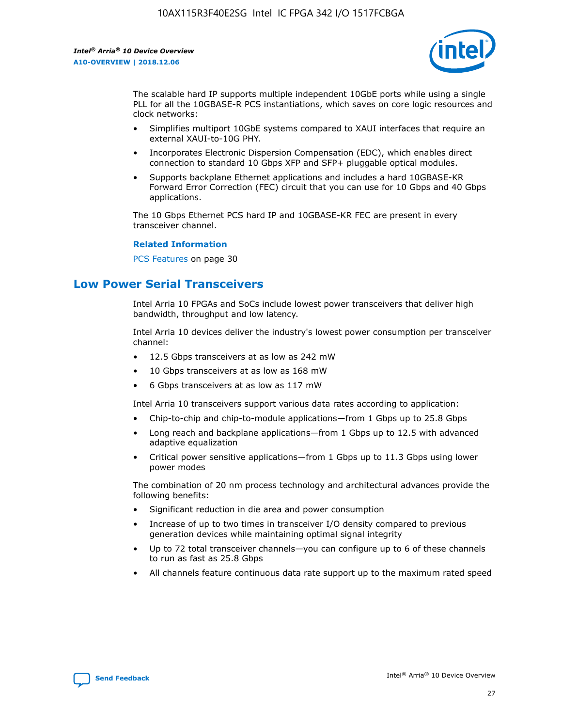

The scalable hard IP supports multiple independent 10GbE ports while using a single PLL for all the 10GBASE-R PCS instantiations, which saves on core logic resources and clock networks:

- Simplifies multiport 10GbE systems compared to XAUI interfaces that require an external XAUI-to-10G PHY.
- Incorporates Electronic Dispersion Compensation (EDC), which enables direct connection to standard 10 Gbps XFP and SFP+ pluggable optical modules.
- Supports backplane Ethernet applications and includes a hard 10GBASE-KR Forward Error Correction (FEC) circuit that you can use for 10 Gbps and 40 Gbps applications.

The 10 Gbps Ethernet PCS hard IP and 10GBASE-KR FEC are present in every transceiver channel.

#### **Related Information**

PCS Features on page 30

# **Low Power Serial Transceivers**

Intel Arria 10 FPGAs and SoCs include lowest power transceivers that deliver high bandwidth, throughput and low latency.

Intel Arria 10 devices deliver the industry's lowest power consumption per transceiver channel:

- 12.5 Gbps transceivers at as low as 242 mW
- 10 Gbps transceivers at as low as 168 mW
- 6 Gbps transceivers at as low as 117 mW

Intel Arria 10 transceivers support various data rates according to application:

- Chip-to-chip and chip-to-module applications—from 1 Gbps up to 25.8 Gbps
- Long reach and backplane applications—from 1 Gbps up to 12.5 with advanced adaptive equalization
- Critical power sensitive applications—from 1 Gbps up to 11.3 Gbps using lower power modes

The combination of 20 nm process technology and architectural advances provide the following benefits:

- Significant reduction in die area and power consumption
- Increase of up to two times in transceiver I/O density compared to previous generation devices while maintaining optimal signal integrity
- Up to 72 total transceiver channels—you can configure up to 6 of these channels to run as fast as 25.8 Gbps
- All channels feature continuous data rate support up to the maximum rated speed

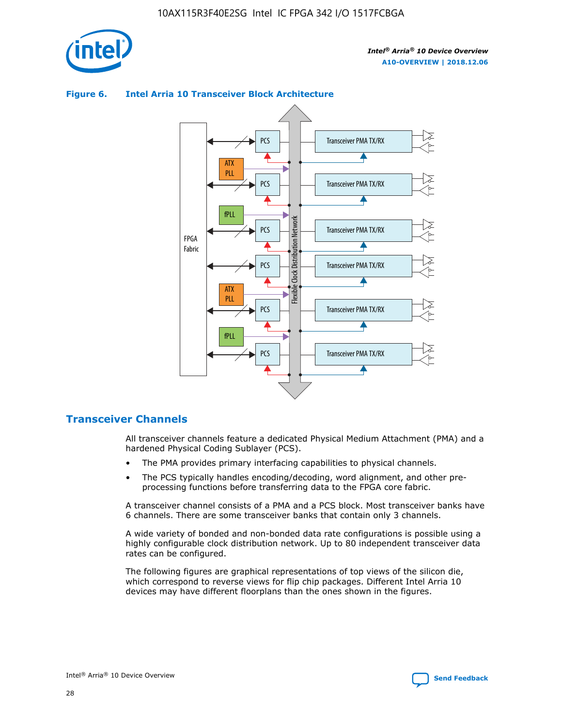

## Transceiver PMA TX/RX PCS ATX PLL Transceiver PMA TX/RX PCS fPLL Network Flexible Clock Distribution Network PCS Transceiver PMA TX/RX FPGA **Clock Distribution** Fabric PCS Transceiver PMA TX/RX ATX Flexible PLL PCS Transceiver PMA TX/RX ▲ fPLL Transceiver PMA TX/RX PCS 4

## **Figure 6. Intel Arria 10 Transceiver Block Architecture**

## **Transceiver Channels**

All transceiver channels feature a dedicated Physical Medium Attachment (PMA) and a hardened Physical Coding Sublayer (PCS).

- The PMA provides primary interfacing capabilities to physical channels.
- The PCS typically handles encoding/decoding, word alignment, and other preprocessing functions before transferring data to the FPGA core fabric.

A transceiver channel consists of a PMA and a PCS block. Most transceiver banks have 6 channels. There are some transceiver banks that contain only 3 channels.

A wide variety of bonded and non-bonded data rate configurations is possible using a highly configurable clock distribution network. Up to 80 independent transceiver data rates can be configured.

The following figures are graphical representations of top views of the silicon die, which correspond to reverse views for flip chip packages. Different Intel Arria 10 devices may have different floorplans than the ones shown in the figures.

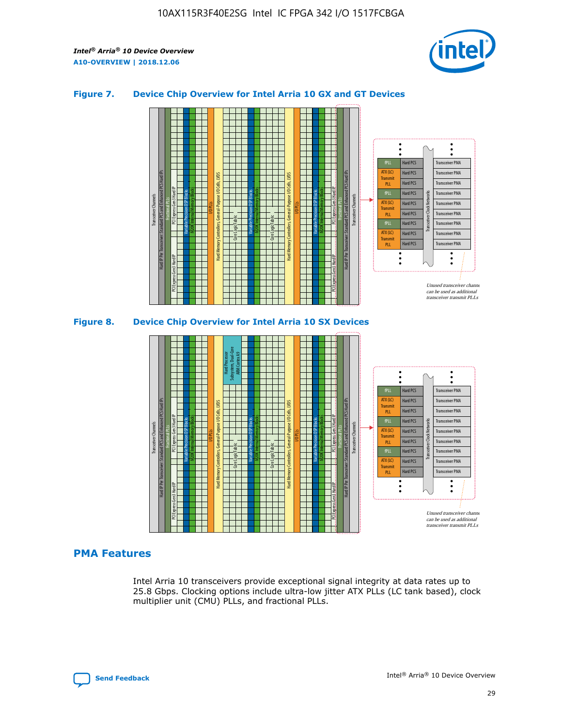

## **Figure 7. Device Chip Overview for Intel Arria 10 GX and GT Devices**





## **PMA Features**

Intel Arria 10 transceivers provide exceptional signal integrity at data rates up to 25.8 Gbps. Clocking options include ultra-low jitter ATX PLLs (LC tank based), clock multiplier unit (CMU) PLLs, and fractional PLLs.

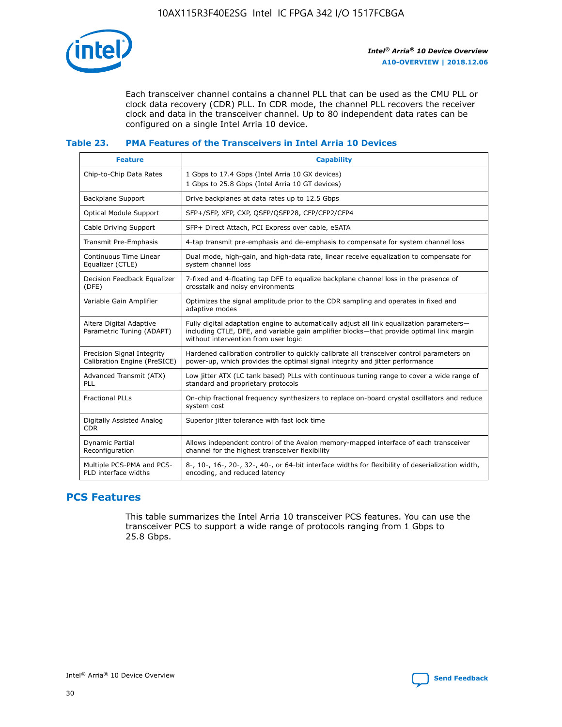

Each transceiver channel contains a channel PLL that can be used as the CMU PLL or clock data recovery (CDR) PLL. In CDR mode, the channel PLL recovers the receiver clock and data in the transceiver channel. Up to 80 independent data rates can be configured on a single Intel Arria 10 device.

## **Table 23. PMA Features of the Transceivers in Intel Arria 10 Devices**

| <b>Feature</b>                                             | <b>Capability</b>                                                                                                                                                                                                             |
|------------------------------------------------------------|-------------------------------------------------------------------------------------------------------------------------------------------------------------------------------------------------------------------------------|
| Chip-to-Chip Data Rates                                    | 1 Gbps to 17.4 Gbps (Intel Arria 10 GX devices)<br>1 Gbps to 25.8 Gbps (Intel Arria 10 GT devices)                                                                                                                            |
| Backplane Support                                          | Drive backplanes at data rates up to 12.5 Gbps                                                                                                                                                                                |
| Optical Module Support                                     | SFP+/SFP, XFP, CXP, QSFP/QSFP28, CFP/CFP2/CFP4                                                                                                                                                                                |
| Cable Driving Support                                      | SFP+ Direct Attach, PCI Express over cable, eSATA                                                                                                                                                                             |
| Transmit Pre-Emphasis                                      | 4-tap transmit pre-emphasis and de-emphasis to compensate for system channel loss                                                                                                                                             |
| Continuous Time Linear<br>Equalizer (CTLE)                 | Dual mode, high-gain, and high-data rate, linear receive equalization to compensate for<br>system channel loss                                                                                                                |
| Decision Feedback Equalizer<br>(DFE)                       | 7-fixed and 4-floating tap DFE to equalize backplane channel loss in the presence of<br>crosstalk and noisy environments                                                                                                      |
| Variable Gain Amplifier                                    | Optimizes the signal amplitude prior to the CDR sampling and operates in fixed and<br>adaptive modes                                                                                                                          |
| Altera Digital Adaptive<br>Parametric Tuning (ADAPT)       | Fully digital adaptation engine to automatically adjust all link equalization parameters-<br>including CTLE, DFE, and variable gain amplifier blocks—that provide optimal link margin<br>without intervention from user logic |
| Precision Signal Integrity<br>Calibration Engine (PreSICE) | Hardened calibration controller to quickly calibrate all transceiver control parameters on<br>power-up, which provides the optimal signal integrity and jitter performance                                                    |
| Advanced Transmit (ATX)<br>PLL                             | Low jitter ATX (LC tank based) PLLs with continuous tuning range to cover a wide range of<br>standard and proprietary protocols                                                                                               |
| <b>Fractional PLLs</b>                                     | On-chip fractional frequency synthesizers to replace on-board crystal oscillators and reduce<br>system cost                                                                                                                   |
| Digitally Assisted Analog<br><b>CDR</b>                    | Superior jitter tolerance with fast lock time                                                                                                                                                                                 |
| Dynamic Partial<br>Reconfiguration                         | Allows independent control of the Avalon memory-mapped interface of each transceiver<br>channel for the highest transceiver flexibility                                                                                       |
| Multiple PCS-PMA and PCS-<br>PLD interface widths          | 8-, 10-, 16-, 20-, 32-, 40-, or 64-bit interface widths for flexibility of deserialization width,<br>encoding, and reduced latency                                                                                            |

## **PCS Features**

This table summarizes the Intel Arria 10 transceiver PCS features. You can use the transceiver PCS to support a wide range of protocols ranging from 1 Gbps to 25.8 Gbps.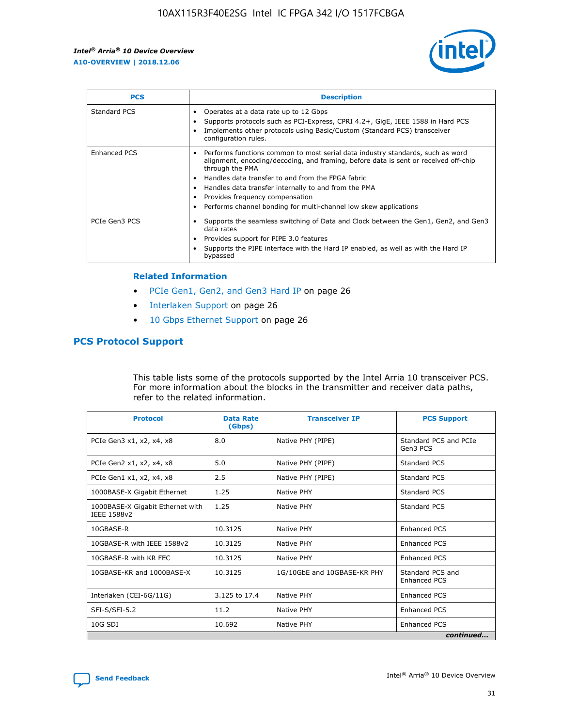

| <b>PCS</b>    | <b>Description</b>                                                                                                                                                                                                                                                                                                                                                                                             |
|---------------|----------------------------------------------------------------------------------------------------------------------------------------------------------------------------------------------------------------------------------------------------------------------------------------------------------------------------------------------------------------------------------------------------------------|
| Standard PCS  | Operates at a data rate up to 12 Gbps<br>Supports protocols such as PCI-Express, CPRI 4.2+, GigE, IEEE 1588 in Hard PCS<br>Implements other protocols using Basic/Custom (Standard PCS) transceiver<br>configuration rules.                                                                                                                                                                                    |
| Enhanced PCS  | Performs functions common to most serial data industry standards, such as word<br>alignment, encoding/decoding, and framing, before data is sent or received off-chip<br>through the PMA<br>• Handles data transfer to and from the FPGA fabric<br>Handles data transfer internally to and from the PMA<br>Provides frequency compensation<br>Performs channel bonding for multi-channel low skew applications |
| PCIe Gen3 PCS | Supports the seamless switching of Data and Clock between the Gen1, Gen2, and Gen3<br>data rates<br>Provides support for PIPE 3.0 features<br>Supports the PIPE interface with the Hard IP enabled, as well as with the Hard IP<br>bypassed                                                                                                                                                                    |

#### **Related Information**

- PCIe Gen1, Gen2, and Gen3 Hard IP on page 26
- Interlaken Support on page 26
- 10 Gbps Ethernet Support on page 26

## **PCS Protocol Support**

This table lists some of the protocols supported by the Intel Arria 10 transceiver PCS. For more information about the blocks in the transmitter and receiver data paths, refer to the related information.

| <b>Protocol</b>                                 | <b>Data Rate</b><br>(Gbps) | <b>Transceiver IP</b>       | <b>PCS Support</b>                      |
|-------------------------------------------------|----------------------------|-----------------------------|-----------------------------------------|
| PCIe Gen3 x1, x2, x4, x8                        | 8.0                        | Native PHY (PIPE)           | Standard PCS and PCIe<br>Gen3 PCS       |
| PCIe Gen2 x1, x2, x4, x8                        | 5.0                        | Native PHY (PIPE)           | <b>Standard PCS</b>                     |
| PCIe Gen1 x1, x2, x4, x8                        | 2.5                        | Native PHY (PIPE)           | Standard PCS                            |
| 1000BASE-X Gigabit Ethernet                     | 1.25                       | Native PHY                  | <b>Standard PCS</b>                     |
| 1000BASE-X Gigabit Ethernet with<br>IEEE 1588v2 | 1.25                       | Native PHY                  | Standard PCS                            |
| 10GBASE-R                                       | 10.3125                    | Native PHY                  | <b>Enhanced PCS</b>                     |
| 10GBASE-R with IEEE 1588v2                      | 10.3125                    | Native PHY                  | <b>Enhanced PCS</b>                     |
| 10GBASE-R with KR FEC                           | 10.3125                    | Native PHY                  | <b>Enhanced PCS</b>                     |
| 10GBASE-KR and 1000BASE-X                       | 10.3125                    | 1G/10GbE and 10GBASE-KR PHY | Standard PCS and<br><b>Enhanced PCS</b> |
| Interlaken (CEI-6G/11G)                         | 3.125 to 17.4              | Native PHY                  | <b>Enhanced PCS</b>                     |
| SFI-S/SFI-5.2                                   | 11.2                       | Native PHY                  | <b>Enhanced PCS</b>                     |
| $10G$ SDI                                       | 10.692                     | Native PHY                  | <b>Enhanced PCS</b>                     |
|                                                 |                            |                             | continued                               |

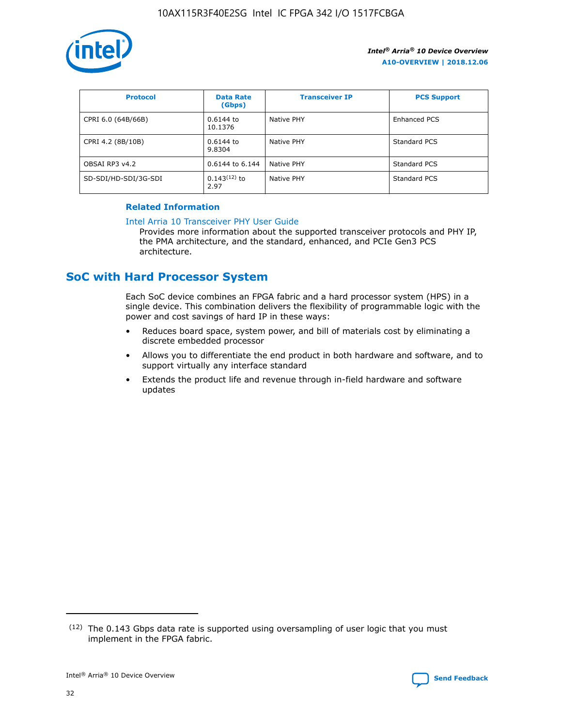

| <b>Protocol</b>      | <b>Data Rate</b><br>(Gbps) | <b>Transceiver IP</b> | <b>PCS Support</b> |
|----------------------|----------------------------|-----------------------|--------------------|
| CPRI 6.0 (64B/66B)   | 0.6144 to<br>10.1376       | Native PHY            | Enhanced PCS       |
| CPRI 4.2 (8B/10B)    | $0.6144$ to<br>9.8304      | Native PHY            | Standard PCS       |
| OBSAI RP3 v4.2       | 0.6144 to 6.144            | Native PHY            | Standard PCS       |
| SD-SDI/HD-SDI/3G-SDI | $0.143(12)$ to<br>2.97     | Native PHY            | Standard PCS       |

## **Related Information**

#### [Intel Arria 10 Transceiver PHY User Guide](https://www.intel.com/content/www/us/en/programmable/documentation/nik1398707230472.html#nik1398707091164)

Provides more information about the supported transceiver protocols and PHY IP, the PMA architecture, and the standard, enhanced, and PCIe Gen3 PCS architecture.

# **SoC with Hard Processor System**

Each SoC device combines an FPGA fabric and a hard processor system (HPS) in a single device. This combination delivers the flexibility of programmable logic with the power and cost savings of hard IP in these ways:

- Reduces board space, system power, and bill of materials cost by eliminating a discrete embedded processor
- Allows you to differentiate the end product in both hardware and software, and to support virtually any interface standard
- Extends the product life and revenue through in-field hardware and software updates

<sup>(12)</sup> The 0.143 Gbps data rate is supported using oversampling of user logic that you must implement in the FPGA fabric.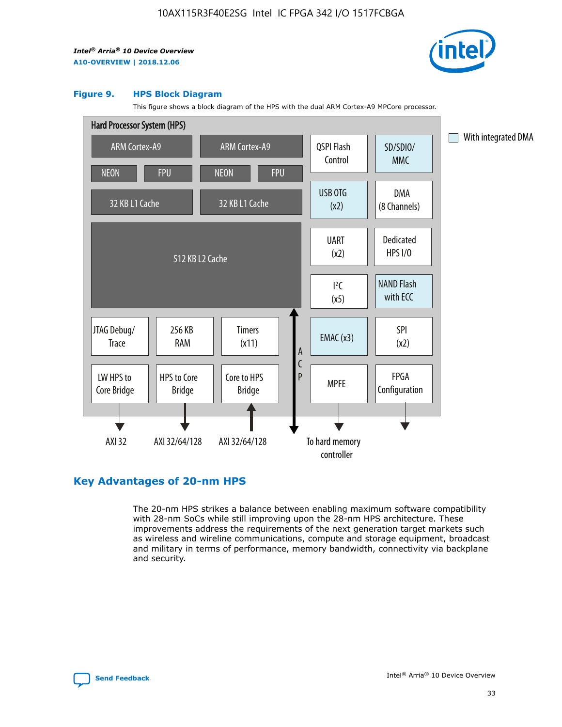

#### **Figure 9. HPS Block Diagram**

This figure shows a block diagram of the HPS with the dual ARM Cortex-A9 MPCore processor.



## **Key Advantages of 20-nm HPS**

The 20-nm HPS strikes a balance between enabling maximum software compatibility with 28-nm SoCs while still improving upon the 28-nm HPS architecture. These improvements address the requirements of the next generation target markets such as wireless and wireline communications, compute and storage equipment, broadcast and military in terms of performance, memory bandwidth, connectivity via backplane and security.

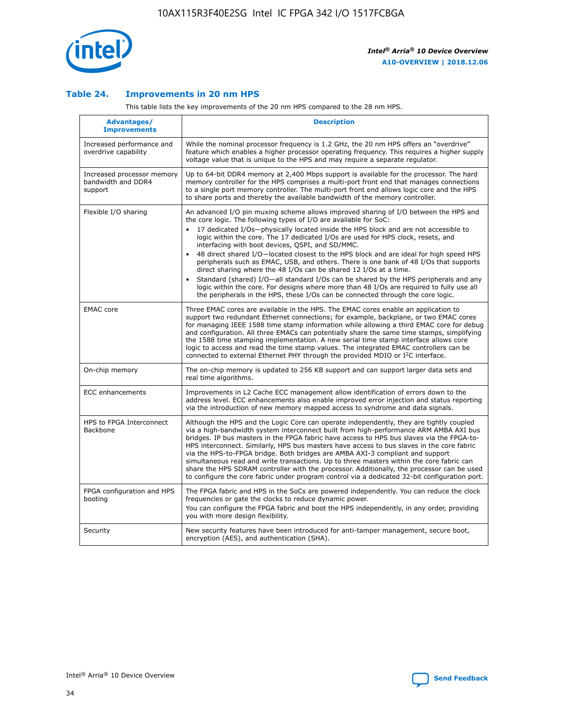

## **Table 24. Improvements in 20 nm HPS**

This table lists the key improvements of the 20 nm HPS compared to the 28 nm HPS.

| Advantages/<br><b>Improvements</b>                          | <b>Description</b>                                                                                                                                                                                                                                                                                                                                                                                                                                                                                                                                                                                                                                                                                                                                                                                                                                                                                                      |
|-------------------------------------------------------------|-------------------------------------------------------------------------------------------------------------------------------------------------------------------------------------------------------------------------------------------------------------------------------------------------------------------------------------------------------------------------------------------------------------------------------------------------------------------------------------------------------------------------------------------------------------------------------------------------------------------------------------------------------------------------------------------------------------------------------------------------------------------------------------------------------------------------------------------------------------------------------------------------------------------------|
| Increased performance and<br>overdrive capability           | While the nominal processor frequency is 1.2 GHz, the 20 nm HPS offers an "overdrive"<br>feature which enables a higher processor operating frequency. This requires a higher supply<br>voltage value that is unique to the HPS and may require a separate regulator.                                                                                                                                                                                                                                                                                                                                                                                                                                                                                                                                                                                                                                                   |
| Increased processor memory<br>bandwidth and DDR4<br>support | Up to 64-bit DDR4 memory at 2,400 Mbps support is available for the processor. The hard<br>memory controller for the HPS comprises a multi-port front end that manages connections<br>to a single port memory controller. The multi-port front end allows logic core and the HPS<br>to share ports and thereby the available bandwidth of the memory controller.                                                                                                                                                                                                                                                                                                                                                                                                                                                                                                                                                        |
| Flexible I/O sharing                                        | An advanced I/O pin muxing scheme allows improved sharing of I/O between the HPS and<br>the core logic. The following types of I/O are available for SoC:<br>17 dedicated I/Os-physically located inside the HPS block and are not accessible to<br>logic within the core. The 17 dedicated I/Os are used for HPS clock, resets, and<br>interfacing with boot devices, QSPI, and SD/MMC.<br>48 direct shared I/O-located closest to the HPS block and are ideal for high speed HPS<br>peripherals such as EMAC, USB, and others. There is one bank of 48 I/Os that supports<br>direct sharing where the 48 I/Os can be shared 12 I/Os at a time.<br>Standard (shared) I/O-all standard I/Os can be shared by the HPS peripherals and any<br>logic within the core. For designs where more than 48 I/Os are reguired to fully use all<br>the peripherals in the HPS, these I/Os can be connected through the core logic. |
| <b>EMAC</b> core                                            | Three EMAC cores are available in the HPS. The EMAC cores enable an application to<br>support two redundant Ethernet connections; for example, backplane, or two EMAC cores<br>for managing IEEE 1588 time stamp information while allowing a third EMAC core for debug<br>and configuration. All three EMACs can potentially share the same time stamps, simplifying<br>the 1588 time stamping implementation. A new serial time stamp interface allows core<br>logic to access and read the time stamp values. The integrated EMAC controllers can be<br>connected to external Ethernet PHY through the provided MDIO or I <sup>2</sup> C interface.                                                                                                                                                                                                                                                                  |
| On-chip memory                                              | The on-chip memory is updated to 256 KB support and can support larger data sets and<br>real time algorithms.                                                                                                                                                                                                                                                                                                                                                                                                                                                                                                                                                                                                                                                                                                                                                                                                           |
| <b>ECC</b> enhancements                                     | Improvements in L2 Cache ECC management allow identification of errors down to the<br>address level. ECC enhancements also enable improved error injection and status reporting<br>via the introduction of new memory mapped access to syndrome and data signals.                                                                                                                                                                                                                                                                                                                                                                                                                                                                                                                                                                                                                                                       |
| HPS to FPGA Interconnect<br>Backbone                        | Although the HPS and the Logic Core can operate independently, they are tightly coupled<br>via a high-bandwidth system interconnect built from high-performance ARM AMBA AXI bus<br>bridges. IP bus masters in the FPGA fabric have access to HPS bus slaves via the FPGA-to-<br>HPS interconnect. Similarly, HPS bus masters have access to bus slaves in the core fabric<br>via the HPS-to-FPGA bridge. Both bridges are AMBA AXI-3 compliant and support<br>simultaneous read and write transactions. Up to three masters within the core fabric can<br>share the HPS SDRAM controller with the processor. Additionally, the processor can be used<br>to configure the core fabric under program control via a dedicated 32-bit configuration port.                                                                                                                                                                  |
| FPGA configuration and HPS<br>booting                       | The FPGA fabric and HPS in the SoCs are powered independently. You can reduce the clock<br>frequencies or gate the clocks to reduce dynamic power.<br>You can configure the FPGA fabric and boot the HPS independently, in any order, providing<br>you with more design flexibility.                                                                                                                                                                                                                                                                                                                                                                                                                                                                                                                                                                                                                                    |
| Security                                                    | New security features have been introduced for anti-tamper management, secure boot,<br>encryption (AES), and authentication (SHA).                                                                                                                                                                                                                                                                                                                                                                                                                                                                                                                                                                                                                                                                                                                                                                                      |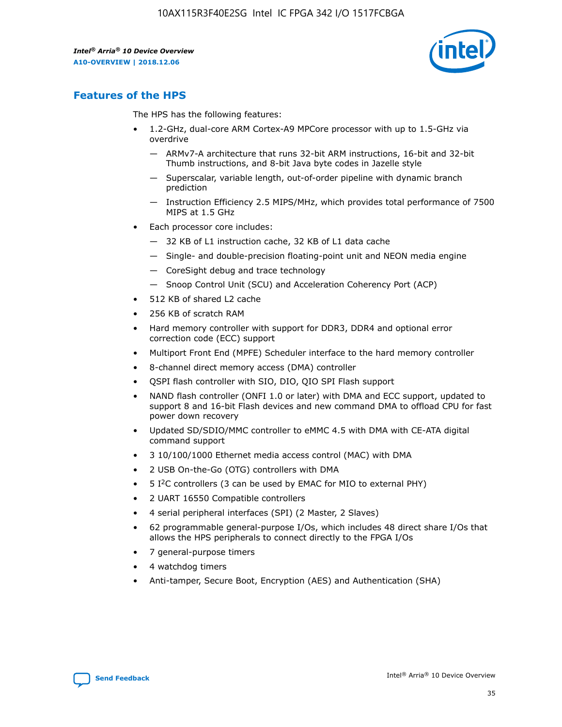

## **Features of the HPS**

The HPS has the following features:

- 1.2-GHz, dual-core ARM Cortex-A9 MPCore processor with up to 1.5-GHz via overdrive
	- ARMv7-A architecture that runs 32-bit ARM instructions, 16-bit and 32-bit Thumb instructions, and 8-bit Java byte codes in Jazelle style
	- Superscalar, variable length, out-of-order pipeline with dynamic branch prediction
	- Instruction Efficiency 2.5 MIPS/MHz, which provides total performance of 7500 MIPS at 1.5 GHz
- Each processor core includes:
	- 32 KB of L1 instruction cache, 32 KB of L1 data cache
	- Single- and double-precision floating-point unit and NEON media engine
	- CoreSight debug and trace technology
	- Snoop Control Unit (SCU) and Acceleration Coherency Port (ACP)
- 512 KB of shared L2 cache
- 256 KB of scratch RAM
- Hard memory controller with support for DDR3, DDR4 and optional error correction code (ECC) support
- Multiport Front End (MPFE) Scheduler interface to the hard memory controller
- 8-channel direct memory access (DMA) controller
- QSPI flash controller with SIO, DIO, QIO SPI Flash support
- NAND flash controller (ONFI 1.0 or later) with DMA and ECC support, updated to support 8 and 16-bit Flash devices and new command DMA to offload CPU for fast power down recovery
- Updated SD/SDIO/MMC controller to eMMC 4.5 with DMA with CE-ATA digital command support
- 3 10/100/1000 Ethernet media access control (MAC) with DMA
- 2 USB On-the-Go (OTG) controllers with DMA
- $\bullet$  5 I<sup>2</sup>C controllers (3 can be used by EMAC for MIO to external PHY)
- 2 UART 16550 Compatible controllers
- 4 serial peripheral interfaces (SPI) (2 Master, 2 Slaves)
- 62 programmable general-purpose I/Os, which includes 48 direct share I/Os that allows the HPS peripherals to connect directly to the FPGA I/Os
- 7 general-purpose timers
- 4 watchdog timers
- Anti-tamper, Secure Boot, Encryption (AES) and Authentication (SHA)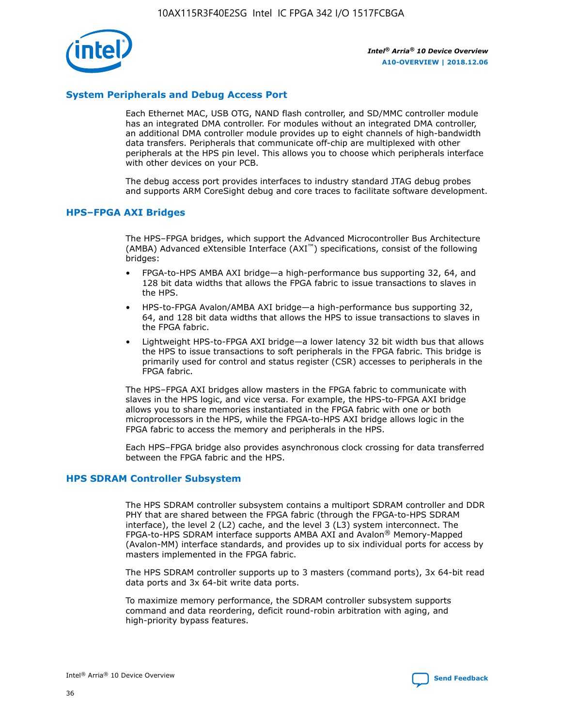

## **System Peripherals and Debug Access Port**

Each Ethernet MAC, USB OTG, NAND flash controller, and SD/MMC controller module has an integrated DMA controller. For modules without an integrated DMA controller, an additional DMA controller module provides up to eight channels of high-bandwidth data transfers. Peripherals that communicate off-chip are multiplexed with other peripherals at the HPS pin level. This allows you to choose which peripherals interface with other devices on your PCB.

The debug access port provides interfaces to industry standard JTAG debug probes and supports ARM CoreSight debug and core traces to facilitate software development.

## **HPS–FPGA AXI Bridges**

The HPS–FPGA bridges, which support the Advanced Microcontroller Bus Architecture (AMBA) Advanced eXtensible Interface (AXI™) specifications, consist of the following bridges:

- FPGA-to-HPS AMBA AXI bridge—a high-performance bus supporting 32, 64, and 128 bit data widths that allows the FPGA fabric to issue transactions to slaves in the HPS.
- HPS-to-FPGA Avalon/AMBA AXI bridge—a high-performance bus supporting 32, 64, and 128 bit data widths that allows the HPS to issue transactions to slaves in the FPGA fabric.
- Lightweight HPS-to-FPGA AXI bridge—a lower latency 32 bit width bus that allows the HPS to issue transactions to soft peripherals in the FPGA fabric. This bridge is primarily used for control and status register (CSR) accesses to peripherals in the FPGA fabric.

The HPS–FPGA AXI bridges allow masters in the FPGA fabric to communicate with slaves in the HPS logic, and vice versa. For example, the HPS-to-FPGA AXI bridge allows you to share memories instantiated in the FPGA fabric with one or both microprocessors in the HPS, while the FPGA-to-HPS AXI bridge allows logic in the FPGA fabric to access the memory and peripherals in the HPS.

Each HPS–FPGA bridge also provides asynchronous clock crossing for data transferred between the FPGA fabric and the HPS.

#### **HPS SDRAM Controller Subsystem**

The HPS SDRAM controller subsystem contains a multiport SDRAM controller and DDR PHY that are shared between the FPGA fabric (through the FPGA-to-HPS SDRAM interface), the level 2 (L2) cache, and the level 3 (L3) system interconnect. The FPGA-to-HPS SDRAM interface supports AMBA AXI and Avalon® Memory-Mapped (Avalon-MM) interface standards, and provides up to six individual ports for access by masters implemented in the FPGA fabric.

The HPS SDRAM controller supports up to 3 masters (command ports), 3x 64-bit read data ports and 3x 64-bit write data ports.

To maximize memory performance, the SDRAM controller subsystem supports command and data reordering, deficit round-robin arbitration with aging, and high-priority bypass features.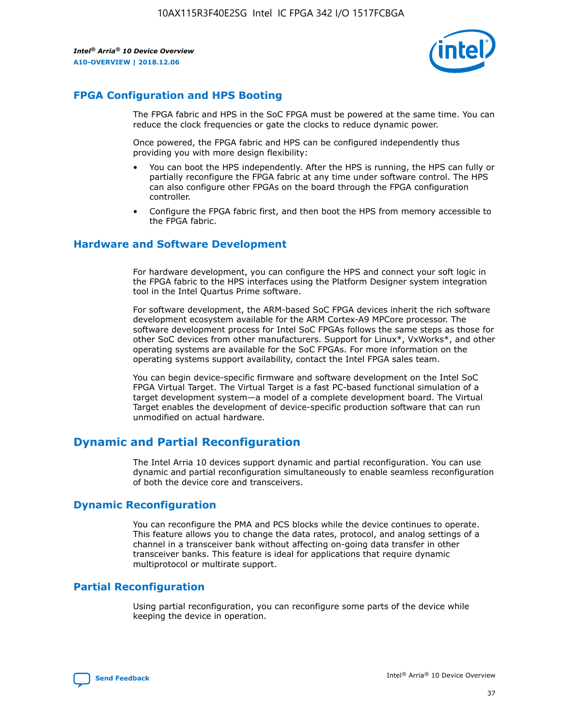

## **FPGA Configuration and HPS Booting**

The FPGA fabric and HPS in the SoC FPGA must be powered at the same time. You can reduce the clock frequencies or gate the clocks to reduce dynamic power.

Once powered, the FPGA fabric and HPS can be configured independently thus providing you with more design flexibility:

- You can boot the HPS independently. After the HPS is running, the HPS can fully or partially reconfigure the FPGA fabric at any time under software control. The HPS can also configure other FPGAs on the board through the FPGA configuration controller.
- Configure the FPGA fabric first, and then boot the HPS from memory accessible to the FPGA fabric.

## **Hardware and Software Development**

For hardware development, you can configure the HPS and connect your soft logic in the FPGA fabric to the HPS interfaces using the Platform Designer system integration tool in the Intel Quartus Prime software.

For software development, the ARM-based SoC FPGA devices inherit the rich software development ecosystem available for the ARM Cortex-A9 MPCore processor. The software development process for Intel SoC FPGAs follows the same steps as those for other SoC devices from other manufacturers. Support for Linux\*, VxWorks\*, and other operating systems are available for the SoC FPGAs. For more information on the operating systems support availability, contact the Intel FPGA sales team.

You can begin device-specific firmware and software development on the Intel SoC FPGA Virtual Target. The Virtual Target is a fast PC-based functional simulation of a target development system—a model of a complete development board. The Virtual Target enables the development of device-specific production software that can run unmodified on actual hardware.

## **Dynamic and Partial Reconfiguration**

The Intel Arria 10 devices support dynamic and partial reconfiguration. You can use dynamic and partial reconfiguration simultaneously to enable seamless reconfiguration of both the device core and transceivers.

## **Dynamic Reconfiguration**

You can reconfigure the PMA and PCS blocks while the device continues to operate. This feature allows you to change the data rates, protocol, and analog settings of a channel in a transceiver bank without affecting on-going data transfer in other transceiver banks. This feature is ideal for applications that require dynamic multiprotocol or multirate support.

## **Partial Reconfiguration**

Using partial reconfiguration, you can reconfigure some parts of the device while keeping the device in operation.

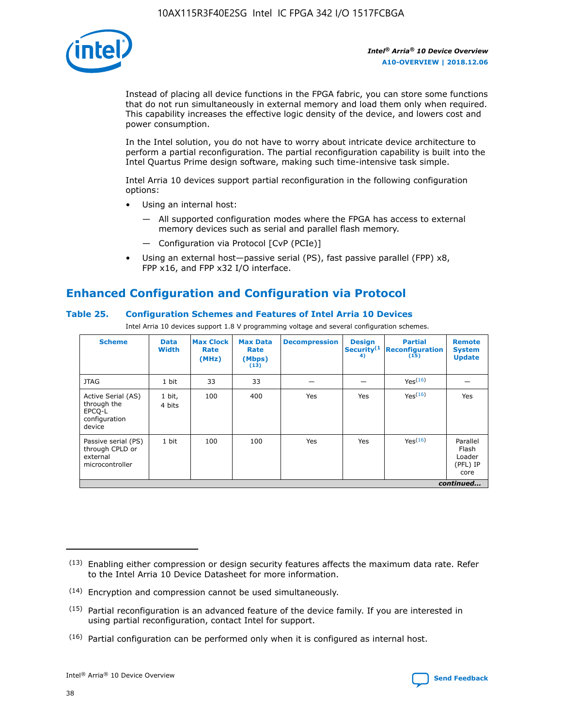

Instead of placing all device functions in the FPGA fabric, you can store some functions that do not run simultaneously in external memory and load them only when required. This capability increases the effective logic density of the device, and lowers cost and power consumption.

In the Intel solution, you do not have to worry about intricate device architecture to perform a partial reconfiguration. The partial reconfiguration capability is built into the Intel Quartus Prime design software, making such time-intensive task simple.

Intel Arria 10 devices support partial reconfiguration in the following configuration options:

- Using an internal host:
	- All supported configuration modes where the FPGA has access to external memory devices such as serial and parallel flash memory.
	- Configuration via Protocol [CvP (PCIe)]
- Using an external host—passive serial (PS), fast passive parallel (FPP) x8, FPP x16, and FPP x32 I/O interface.

# **Enhanced Configuration and Configuration via Protocol**

## **Table 25. Configuration Schemes and Features of Intel Arria 10 Devices**

Intel Arria 10 devices support 1.8 V programming voltage and several configuration schemes.

| <b>Scheme</b>                                                          | <b>Data</b><br><b>Width</b> | <b>Max Clock</b><br>Rate<br>(MHz) | <b>Max Data</b><br>Rate<br>(Mbps)<br>(13) | <b>Decompression</b> | <b>Design</b><br>Security <sup>(1</sup><br>4) | <b>Partial</b><br><b>Reconfiguration</b><br>(15) | <b>Remote</b><br><b>System</b><br><b>Update</b> |
|------------------------------------------------------------------------|-----------------------------|-----------------------------------|-------------------------------------------|----------------------|-----------------------------------------------|--------------------------------------------------|-------------------------------------------------|
| <b>JTAG</b>                                                            | 1 bit                       | 33                                | 33                                        |                      |                                               | Yes(16)                                          |                                                 |
| Active Serial (AS)<br>through the<br>EPCO-L<br>configuration<br>device | 1 bit,<br>4 bits            | 100                               | 400                                       | Yes                  | Yes                                           | $Y_{PS}(16)$                                     | Yes                                             |
| Passive serial (PS)<br>through CPLD or<br>external<br>microcontroller  | 1 bit                       | 100                               | 100                                       | Yes                  | Yes                                           | Yes(16)                                          | Parallel<br>Flash<br>Loader<br>(PFL) IP<br>core |
|                                                                        |                             |                                   |                                           |                      |                                               |                                                  | continued                                       |

<sup>(13)</sup> Enabling either compression or design security features affects the maximum data rate. Refer to the Intel Arria 10 Device Datasheet for more information.

<sup>(14)</sup> Encryption and compression cannot be used simultaneously.

 $(15)$  Partial reconfiguration is an advanced feature of the device family. If you are interested in using partial reconfiguration, contact Intel for support.

 $(16)$  Partial configuration can be performed only when it is configured as internal host.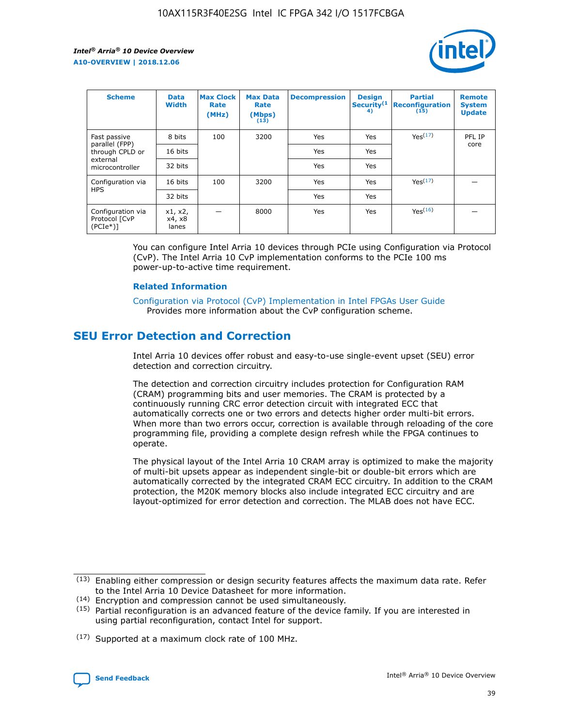

| <b>Scheme</b>                                   | <b>Data</b><br><b>Width</b> | <b>Max Clock</b><br>Rate<br>(MHz) | <b>Max Data</b><br>Rate<br>(Mbps)<br>(13) | <b>Decompression</b> | <b>Design</b><br>Security <sup>(1</sup><br>4) | <b>Partial</b><br><b>Reconfiguration</b><br>(15) | <b>Remote</b><br><b>System</b><br><b>Update</b> |
|-------------------------------------------------|-----------------------------|-----------------------------------|-------------------------------------------|----------------------|-----------------------------------------------|--------------------------------------------------|-------------------------------------------------|
| Fast passive                                    | 8 bits                      | 100                               | 3200                                      | Yes                  | Yes                                           | Yes(17)                                          | PFL IP                                          |
| parallel (FPP)<br>through CPLD or               | 16 bits                     |                                   |                                           | Yes                  | Yes                                           |                                                  | core                                            |
| external<br>microcontroller                     | 32 bits                     |                                   |                                           | Yes                  | Yes                                           |                                                  |                                                 |
| Configuration via                               | 16 bits                     | 100                               | 3200                                      | Yes                  | Yes                                           | Yes <sup>(17)</sup>                              |                                                 |
| <b>HPS</b>                                      | 32 bits                     |                                   |                                           | Yes                  | Yes                                           |                                                  |                                                 |
| Configuration via<br>Protocol [CvP<br>$(PCIe*)$ | x1, x2,<br>x4, x8<br>lanes  |                                   | 8000                                      | Yes                  | Yes                                           | Yes(16)                                          |                                                 |

You can configure Intel Arria 10 devices through PCIe using Configuration via Protocol (CvP). The Intel Arria 10 CvP implementation conforms to the PCIe 100 ms power-up-to-active time requirement.

#### **Related Information**

[Configuration via Protocol \(CvP\) Implementation in Intel FPGAs User Guide](https://www.intel.com/content/www/us/en/programmable/documentation/dsu1441819344145.html#dsu1442269728522) Provides more information about the CvP configuration scheme.

# **SEU Error Detection and Correction**

Intel Arria 10 devices offer robust and easy-to-use single-event upset (SEU) error detection and correction circuitry.

The detection and correction circuitry includes protection for Configuration RAM (CRAM) programming bits and user memories. The CRAM is protected by a continuously running CRC error detection circuit with integrated ECC that automatically corrects one or two errors and detects higher order multi-bit errors. When more than two errors occur, correction is available through reloading of the core programming file, providing a complete design refresh while the FPGA continues to operate.

The physical layout of the Intel Arria 10 CRAM array is optimized to make the majority of multi-bit upsets appear as independent single-bit or double-bit errors which are automatically corrected by the integrated CRAM ECC circuitry. In addition to the CRAM protection, the M20K memory blocks also include integrated ECC circuitry and are layout-optimized for error detection and correction. The MLAB does not have ECC.

(14) Encryption and compression cannot be used simultaneously.

<sup>(17)</sup> Supported at a maximum clock rate of 100 MHz.



 $(13)$  Enabling either compression or design security features affects the maximum data rate. Refer to the Intel Arria 10 Device Datasheet for more information.

 $(15)$  Partial reconfiguration is an advanced feature of the device family. If you are interested in using partial reconfiguration, contact Intel for support.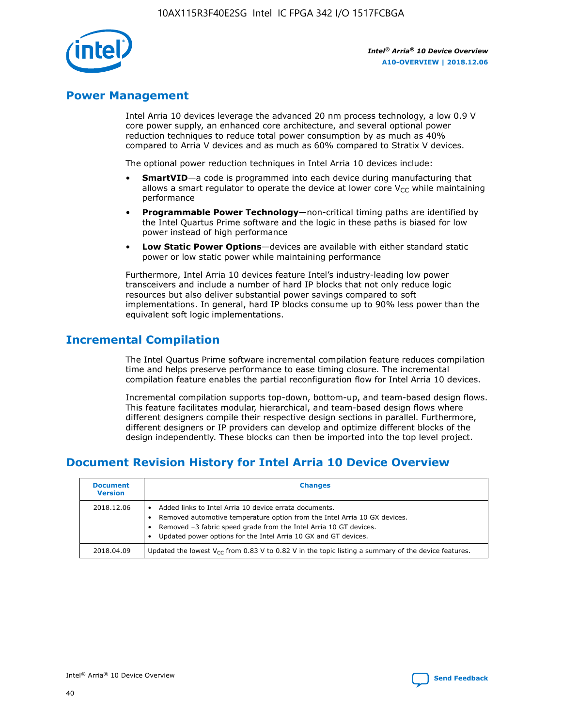

## **Power Management**

Intel Arria 10 devices leverage the advanced 20 nm process technology, a low 0.9 V core power supply, an enhanced core architecture, and several optional power reduction techniques to reduce total power consumption by as much as 40% compared to Arria V devices and as much as 60% compared to Stratix V devices.

The optional power reduction techniques in Intel Arria 10 devices include:

- **SmartVID**—a code is programmed into each device during manufacturing that allows a smart regulator to operate the device at lower core  $V_{CC}$  while maintaining performance
- **Programmable Power Technology**—non-critical timing paths are identified by the Intel Quartus Prime software and the logic in these paths is biased for low power instead of high performance
- **Low Static Power Options**—devices are available with either standard static power or low static power while maintaining performance

Furthermore, Intel Arria 10 devices feature Intel's industry-leading low power transceivers and include a number of hard IP blocks that not only reduce logic resources but also deliver substantial power savings compared to soft implementations. In general, hard IP blocks consume up to 90% less power than the equivalent soft logic implementations.

# **Incremental Compilation**

The Intel Quartus Prime software incremental compilation feature reduces compilation time and helps preserve performance to ease timing closure. The incremental compilation feature enables the partial reconfiguration flow for Intel Arria 10 devices.

Incremental compilation supports top-down, bottom-up, and team-based design flows. This feature facilitates modular, hierarchical, and team-based design flows where different designers compile their respective design sections in parallel. Furthermore, different designers or IP providers can develop and optimize different blocks of the design independently. These blocks can then be imported into the top level project.

# **Document Revision History for Intel Arria 10 Device Overview**

| <b>Document</b><br><b>Version</b> | <b>Changes</b>                                                                                                                                                                                                                                                              |
|-----------------------------------|-----------------------------------------------------------------------------------------------------------------------------------------------------------------------------------------------------------------------------------------------------------------------------|
| 2018.12.06                        | Added links to Intel Arria 10 device errata documents.<br>Removed automotive temperature option from the Intel Arria 10 GX devices.<br>Removed -3 fabric speed grade from the Intel Arria 10 GT devices.<br>Updated power options for the Intel Arria 10 GX and GT devices. |
| 2018.04.09                        | Updated the lowest $V_{CC}$ from 0.83 V to 0.82 V in the topic listing a summary of the device features.                                                                                                                                                                    |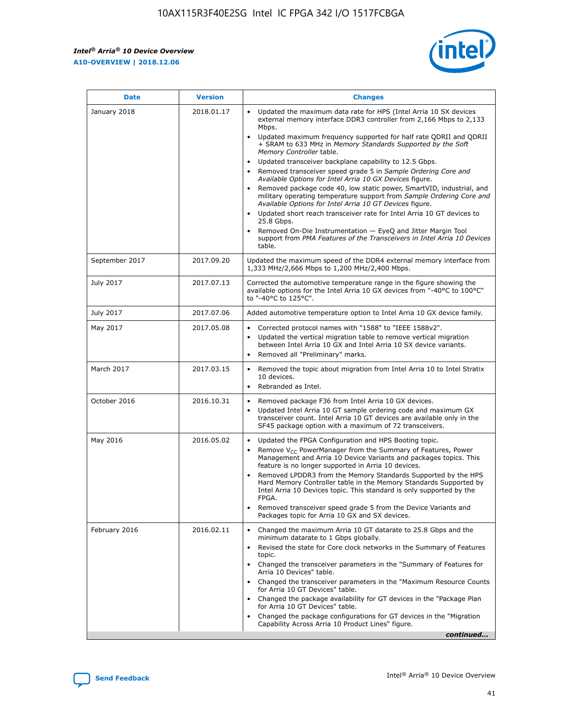$\mathsf{r}$ 



| January 2018<br>Updated the maximum data rate for HPS (Intel Arria 10 SX devices<br>2018.01.17<br>external memory interface DDR3 controller from 2,166 Mbps to 2,133<br>Mbps.<br>$\bullet$<br>+ SRAM to 633 MHz in Memory Standards Supported by the Soft<br>Memory Controller table.<br>Updated transceiver backplane capability to 12.5 Gbps.<br>$\bullet$<br>Removed transceiver speed grade 5 in Sample Ordering Core and<br>Available Options for Intel Arria 10 GX Devices figure.<br>Available Options for Intel Arria 10 GT Devices figure.<br>Updated short reach transceiver rate for Intel Arria 10 GT devices to<br>$\bullet$<br>25.8 Gbps.<br>Removed On-Die Instrumentation - EyeQ and Jitter Margin Tool<br>table.<br>2017.09.20<br>September 2017<br>1,333 MHz/2,666 Mbps to 1,200 MHz/2,400 Mbps.<br>July 2017<br>2017.07.13<br>Corrected the automotive temperature range in the figure showing the<br>available options for the Intel Arria 10 GX devices from "-40°C to 100°C"<br>to "-40°C to 125°C".<br>July 2017<br>2017.07.06<br>Added automotive temperature option to Intel Arria 10 GX device family.<br>2017.05.08<br>Corrected protocol names with "1588" to "IEEE 1588v2".<br>May 2017<br>$\bullet$<br>Updated the vertical migration table to remove vertical migration<br>$\bullet$<br>between Intel Arria 10 GX and Intel Arria 10 SX device variants.<br>Removed all "Preliminary" marks.<br>2017.03.15<br>March 2017<br>Removed the topic about migration from Intel Arria 10 to Intel Stratix<br>10 devices.<br>Rebranded as Intel.<br>$\bullet$<br>October 2016<br>2016.10.31<br>Removed package F36 from Intel Arria 10 GX devices.<br>$\bullet$<br>Updated Intel Arria 10 GT sample ordering code and maximum GX<br>$\bullet$<br>transceiver count. Intel Arria 10 GT devices are available only in the<br>SF45 package option with a maximum of 72 transceivers.<br>May 2016<br>2016.05.02<br>Updated the FPGA Configuration and HPS Booting topic.<br>Remove $V_{CC}$ PowerManager from the Summary of Features, Power<br>Management and Arria 10 Device Variants and packages topics. This<br>feature is no longer supported in Arria 10 devices.<br>Removed LPDDR3 from the Memory Standards Supported by the HPS<br>Hard Memory Controller table in the Memory Standards Supported by<br>Intel Arria 10 Devices topic. This standard is only supported by the<br>FPGA.<br>Removed transceiver speed grade 5 from the Device Variants and<br>Packages topic for Arria 10 GX and SX devices.<br>Changed the maximum Arria 10 GT datarate to 25.8 Gbps and the<br>February 2016<br>2016.02.11<br>minimum datarate to 1 Gbps globally.<br>Revised the state for Core clock networks in the Summary of Features<br>$\bullet$<br>topic.<br>• Changed the transceiver parameters in the "Summary of Features for<br>Arria 10 Devices" table.<br>for Arria 10 GT Devices" table.<br>• Changed the package availability for GT devices in the "Package Plan<br>for Arria 10 GT Devices" table.<br>Changed the package configurations for GT devices in the "Migration"<br>Capability Across Arria 10 Product Lines" figure. | <b>Date</b> | <b>Version</b> | <b>Changes</b>                                                                                                                                                                                                                                                                               |
|----------------------------------------------------------------------------------------------------------------------------------------------------------------------------------------------------------------------------------------------------------------------------------------------------------------------------------------------------------------------------------------------------------------------------------------------------------------------------------------------------------------------------------------------------------------------------------------------------------------------------------------------------------------------------------------------------------------------------------------------------------------------------------------------------------------------------------------------------------------------------------------------------------------------------------------------------------------------------------------------------------------------------------------------------------------------------------------------------------------------------------------------------------------------------------------------------------------------------------------------------------------------------------------------------------------------------------------------------------------------------------------------------------------------------------------------------------------------------------------------------------------------------------------------------------------------------------------------------------------------------------------------------------------------------------------------------------------------------------------------------------------------------------------------------------------------------------------------------------------------------------------------------------------------------------------------------------------------------------------------------------------------------------------------------------------------------------------------------------------------------------------------------------------------------------------------------------------------------------------------------------------------------------------------------------------------------------------------------------------------------------------------------------------------------------------------------------------------------------------------------------------------------------------------------------------------------------------------------------------------------------------------------------------------------------------------------------------------------------------------------------------------------------------------------------------------------------------------------------------------------------------------------------------------------------------------------------------------------------------------------------------------------------------------------------------------------------------------------------------------------------------------------------------|-------------|----------------|----------------------------------------------------------------------------------------------------------------------------------------------------------------------------------------------------------------------------------------------------------------------------------------------|
|                                                                                                                                                                                                                                                                                                                                                                                                                                                                                                                                                                                                                                                                                                                                                                                                                                                                                                                                                                                                                                                                                                                                                                                                                                                                                                                                                                                                                                                                                                                                                                                                                                                                                                                                                                                                                                                                                                                                                                                                                                                                                                                                                                                                                                                                                                                                                                                                                                                                                                                                                                                                                                                                                                                                                                                                                                                                                                                                                                                                                                                                                                                                                                |             |                | Updated maximum frequency supported for half rate QDRII and QDRII<br>Removed package code 40, low static power, SmartVID, industrial, and<br>military operating temperature support from Sample Ordering Core and<br>support from PMA Features of the Transceivers in Intel Arria 10 Devices |
|                                                                                                                                                                                                                                                                                                                                                                                                                                                                                                                                                                                                                                                                                                                                                                                                                                                                                                                                                                                                                                                                                                                                                                                                                                                                                                                                                                                                                                                                                                                                                                                                                                                                                                                                                                                                                                                                                                                                                                                                                                                                                                                                                                                                                                                                                                                                                                                                                                                                                                                                                                                                                                                                                                                                                                                                                                                                                                                                                                                                                                                                                                                                                                |             |                | Updated the maximum speed of the DDR4 external memory interface from                                                                                                                                                                                                                         |
|                                                                                                                                                                                                                                                                                                                                                                                                                                                                                                                                                                                                                                                                                                                                                                                                                                                                                                                                                                                                                                                                                                                                                                                                                                                                                                                                                                                                                                                                                                                                                                                                                                                                                                                                                                                                                                                                                                                                                                                                                                                                                                                                                                                                                                                                                                                                                                                                                                                                                                                                                                                                                                                                                                                                                                                                                                                                                                                                                                                                                                                                                                                                                                |             |                |                                                                                                                                                                                                                                                                                              |
|                                                                                                                                                                                                                                                                                                                                                                                                                                                                                                                                                                                                                                                                                                                                                                                                                                                                                                                                                                                                                                                                                                                                                                                                                                                                                                                                                                                                                                                                                                                                                                                                                                                                                                                                                                                                                                                                                                                                                                                                                                                                                                                                                                                                                                                                                                                                                                                                                                                                                                                                                                                                                                                                                                                                                                                                                                                                                                                                                                                                                                                                                                                                                                |             |                |                                                                                                                                                                                                                                                                                              |
|                                                                                                                                                                                                                                                                                                                                                                                                                                                                                                                                                                                                                                                                                                                                                                                                                                                                                                                                                                                                                                                                                                                                                                                                                                                                                                                                                                                                                                                                                                                                                                                                                                                                                                                                                                                                                                                                                                                                                                                                                                                                                                                                                                                                                                                                                                                                                                                                                                                                                                                                                                                                                                                                                                                                                                                                                                                                                                                                                                                                                                                                                                                                                                |             |                |                                                                                                                                                                                                                                                                                              |
|                                                                                                                                                                                                                                                                                                                                                                                                                                                                                                                                                                                                                                                                                                                                                                                                                                                                                                                                                                                                                                                                                                                                                                                                                                                                                                                                                                                                                                                                                                                                                                                                                                                                                                                                                                                                                                                                                                                                                                                                                                                                                                                                                                                                                                                                                                                                                                                                                                                                                                                                                                                                                                                                                                                                                                                                                                                                                                                                                                                                                                                                                                                                                                |             |                |                                                                                                                                                                                                                                                                                              |
|                                                                                                                                                                                                                                                                                                                                                                                                                                                                                                                                                                                                                                                                                                                                                                                                                                                                                                                                                                                                                                                                                                                                                                                                                                                                                                                                                                                                                                                                                                                                                                                                                                                                                                                                                                                                                                                                                                                                                                                                                                                                                                                                                                                                                                                                                                                                                                                                                                                                                                                                                                                                                                                                                                                                                                                                                                                                                                                                                                                                                                                                                                                                                                |             |                |                                                                                                                                                                                                                                                                                              |
|                                                                                                                                                                                                                                                                                                                                                                                                                                                                                                                                                                                                                                                                                                                                                                                                                                                                                                                                                                                                                                                                                                                                                                                                                                                                                                                                                                                                                                                                                                                                                                                                                                                                                                                                                                                                                                                                                                                                                                                                                                                                                                                                                                                                                                                                                                                                                                                                                                                                                                                                                                                                                                                                                                                                                                                                                                                                                                                                                                                                                                                                                                                                                                |             |                |                                                                                                                                                                                                                                                                                              |
|                                                                                                                                                                                                                                                                                                                                                                                                                                                                                                                                                                                                                                                                                                                                                                                                                                                                                                                                                                                                                                                                                                                                                                                                                                                                                                                                                                                                                                                                                                                                                                                                                                                                                                                                                                                                                                                                                                                                                                                                                                                                                                                                                                                                                                                                                                                                                                                                                                                                                                                                                                                                                                                                                                                                                                                                                                                                                                                                                                                                                                                                                                                                                                |             |                | Changed the transceiver parameters in the "Maximum Resource Counts"<br>continued                                                                                                                                                                                                             |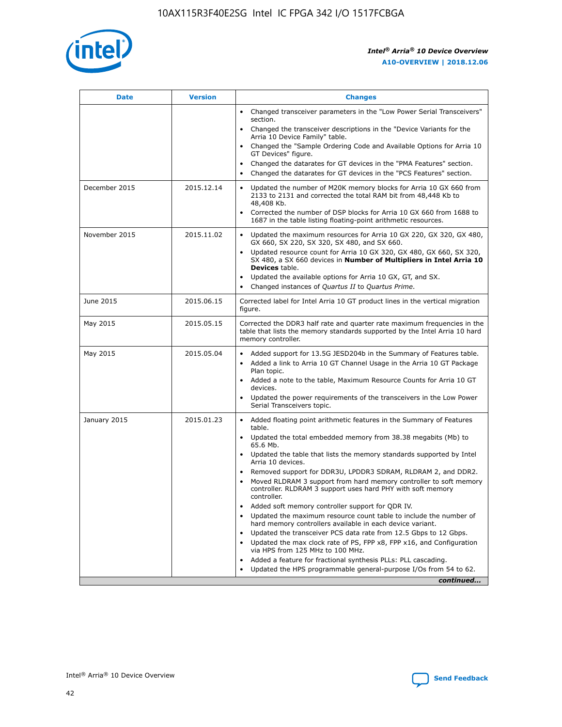

| <b>Date</b>   | <b>Version</b> | <b>Changes</b>                                                                                                                                                                   |
|---------------|----------------|----------------------------------------------------------------------------------------------------------------------------------------------------------------------------------|
|               |                | • Changed transceiver parameters in the "Low Power Serial Transceivers"<br>section.                                                                                              |
|               |                | • Changed the transceiver descriptions in the "Device Variants for the<br>Arria 10 Device Family" table.                                                                         |
|               |                | Changed the "Sample Ordering Code and Available Options for Arria 10<br>GT Devices" figure.                                                                                      |
|               |                | Changed the datarates for GT devices in the "PMA Features" section.                                                                                                              |
|               |                | Changed the datarates for GT devices in the "PCS Features" section.<br>$\bullet$                                                                                                 |
| December 2015 | 2015.12.14     | Updated the number of M20K memory blocks for Arria 10 GX 660 from<br>$\bullet$<br>2133 to 2131 and corrected the total RAM bit from 48,448 Kb to<br>48,408 Kb.                   |
|               |                | Corrected the number of DSP blocks for Arria 10 GX 660 from 1688 to<br>$\bullet$<br>1687 in the table listing floating-point arithmetic resources.                               |
| November 2015 | 2015.11.02     | Updated the maximum resources for Arria 10 GX 220, GX 320, GX 480,<br>$\bullet$<br>GX 660, SX 220, SX 320, SX 480, and SX 660.                                                   |
|               |                | Updated resource count for Arria 10 GX 320, GX 480, GX 660, SX 320,<br>$\bullet$<br>SX 480, a SX 660 devices in Number of Multipliers in Intel Arria 10<br><b>Devices</b> table. |
|               |                | Updated the available options for Arria 10 GX, GT, and SX.<br>$\bullet$                                                                                                          |
|               |                | Changed instances of Quartus II to Quartus Prime.<br>$\bullet$                                                                                                                   |
| June 2015     | 2015.06.15     | Corrected label for Intel Arria 10 GT product lines in the vertical migration<br>figure.                                                                                         |
| May 2015      | 2015.05.15     | Corrected the DDR3 half rate and quarter rate maximum frequencies in the<br>table that lists the memory standards supported by the Intel Arria 10 hard<br>memory controller.     |
| May 2015      | 2015.05.04     | • Added support for 13.5G JESD204b in the Summary of Features table.<br>• Added a link to Arria 10 GT Channel Usage in the Arria 10 GT Package<br>Plan topic.                    |
|               |                | • Added a note to the table, Maximum Resource Counts for Arria 10 GT<br>devices.                                                                                                 |
|               |                | Updated the power requirements of the transceivers in the Low Power<br>Serial Transceivers topic.                                                                                |
| January 2015  | 2015.01.23     | • Added floating point arithmetic features in the Summary of Features<br>table.                                                                                                  |
|               |                | • Updated the total embedded memory from 38.38 megabits (Mb) to<br>65.6 Mb.                                                                                                      |
|               |                | • Updated the table that lists the memory standards supported by Intel<br>Arria 10 devices.                                                                                      |
|               |                | Removed support for DDR3U, LPDDR3 SDRAM, RLDRAM 2, and DDR2.<br>Moved RLDRAM 3 support from hard memory controller to soft memory                                                |
|               |                | controller. RLDRAM 3 support uses hard PHY with soft memory<br>controller.                                                                                                       |
|               |                | Added soft memory controller support for QDR IV.                                                                                                                                 |
|               |                | Updated the maximum resource count table to include the number of<br>hard memory controllers available in each device variant.                                                   |
|               |                | Updated the transceiver PCS data rate from 12.5 Gbps to 12 Gbps.<br>$\bullet$                                                                                                    |
|               |                | Updated the max clock rate of PS, FPP x8, FPP x16, and Configuration<br>via HPS from 125 MHz to 100 MHz.                                                                         |
|               |                | Added a feature for fractional synthesis PLLs: PLL cascading.                                                                                                                    |
|               |                | Updated the HPS programmable general-purpose I/Os from 54 to 62.<br>$\bullet$                                                                                                    |
|               |                | continued                                                                                                                                                                        |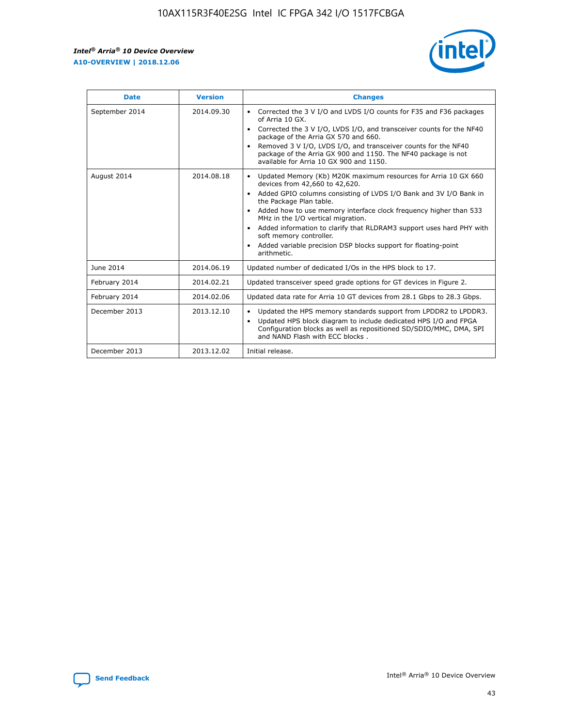r



| <b>Date</b>    | <b>Version</b> | <b>Changes</b>                                                                                                                                                                                                                                                                                                                                                                                                                                                                                                                                      |
|----------------|----------------|-----------------------------------------------------------------------------------------------------------------------------------------------------------------------------------------------------------------------------------------------------------------------------------------------------------------------------------------------------------------------------------------------------------------------------------------------------------------------------------------------------------------------------------------------------|
| September 2014 | 2014.09.30     | Corrected the 3 V I/O and LVDS I/O counts for F35 and F36 packages<br>$\bullet$<br>of Arria 10 GX.<br>Corrected the 3 V I/O, LVDS I/O, and transceiver counts for the NF40<br>$\bullet$<br>package of the Arria GX 570 and 660.<br>Removed 3 V I/O, LVDS I/O, and transceiver counts for the NF40<br>$\bullet$<br>package of the Arria GX 900 and 1150. The NF40 package is not<br>available for Arria 10 GX 900 and 1150.                                                                                                                          |
| August 2014    | 2014.08.18     | Updated Memory (Kb) M20K maximum resources for Arria 10 GX 660<br>devices from 42,660 to 42,620.<br>Added GPIO columns consisting of LVDS I/O Bank and 3V I/O Bank in<br>$\bullet$<br>the Package Plan table.<br>Added how to use memory interface clock frequency higher than 533<br>$\bullet$<br>MHz in the I/O vertical migration.<br>Added information to clarify that RLDRAM3 support uses hard PHY with<br>$\bullet$<br>soft memory controller.<br>Added variable precision DSP blocks support for floating-point<br>$\bullet$<br>arithmetic. |
| June 2014      | 2014.06.19     | Updated number of dedicated I/Os in the HPS block to 17.                                                                                                                                                                                                                                                                                                                                                                                                                                                                                            |
| February 2014  | 2014.02.21     | Updated transceiver speed grade options for GT devices in Figure 2.                                                                                                                                                                                                                                                                                                                                                                                                                                                                                 |
| February 2014  | 2014.02.06     | Updated data rate for Arria 10 GT devices from 28.1 Gbps to 28.3 Gbps.                                                                                                                                                                                                                                                                                                                                                                                                                                                                              |
| December 2013  | 2013.12.10     | Updated the HPS memory standards support from LPDDR2 to LPDDR3.<br>Updated HPS block diagram to include dedicated HPS I/O and FPGA<br>$\bullet$<br>Configuration blocks as well as repositioned SD/SDIO/MMC, DMA, SPI<br>and NAND Flash with ECC blocks.                                                                                                                                                                                                                                                                                            |
| December 2013  | 2013.12.02     | Initial release.                                                                                                                                                                                                                                                                                                                                                                                                                                                                                                                                    |